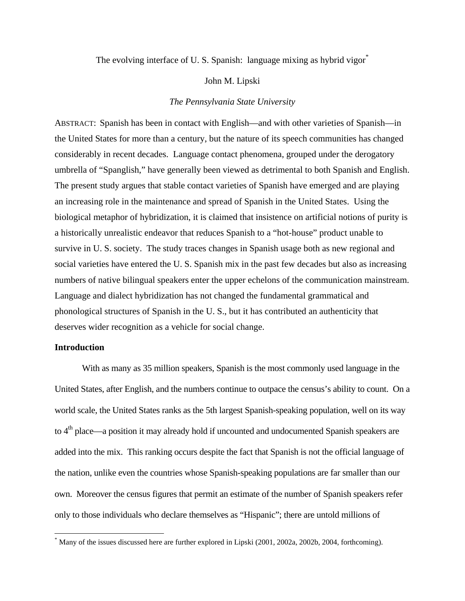The evolving interface of U.S. Spanish: language mixing as hybrid vigor<sup>\*</sup>

### John M. Lipski

# *The Pennsylvania State University*

ABSTRACT: Spanish has been in contact with English—and with other varieties of Spanish—in the United States for more than a century, but the nature of its speech communities has changed considerably in recent decades. Language contact phenomena, grouped under the derogatory umbrella of "Spanglish," have generally been viewed as detrimental to both Spanish and English. The present study argues that stable contact varieties of Spanish have emerged and are playing an increasing role in the maintenance and spread of Spanish in the United States. Using the biological metaphor of hybridization, it is claimed that insistence on artificial notions of purity is a historically unrealistic endeavor that reduces Spanish to a "hot-house" product unable to survive in U. S. society. The study traces changes in Spanish usage both as new regional and social varieties have entered the U. S. Spanish mix in the past few decades but also as increasing numbers of native bilingual speakers enter the upper echelons of the communication mainstream. Language and dialect hybridization has not changed the fundamental grammatical and phonological structures of Spanish in the U. S., but it has contributed an authenticity that deserves wider recognition as a vehicle for social change.

# **Introduction**

 $\overline{a}$ 

With as many as 35 million speakers, Spanish is the most commonly used language in the United States, after English, and the numbers continue to outpace the census's ability to count. On a world scale, the United States ranks as the 5th largest Spanish-speaking population, well on its way to 4<sup>th</sup> place—a position it may already hold if uncounted and undocumented Spanish speakers are added into the mix. This ranking occurs despite the fact that Spanish is not the official language of the nation, unlike even the countries whose Spanish-speaking populations are far smaller than our own. Moreover the census figures that permit an estimate of the number of Spanish speakers refer only to those individuals who declare themselves as "Hispanic"; there are untold millions of

<sup>\*</sup> Many of the issues discussed here are further explored in Lipski (2001, 2002a, 2002b, 2004, forthcoming).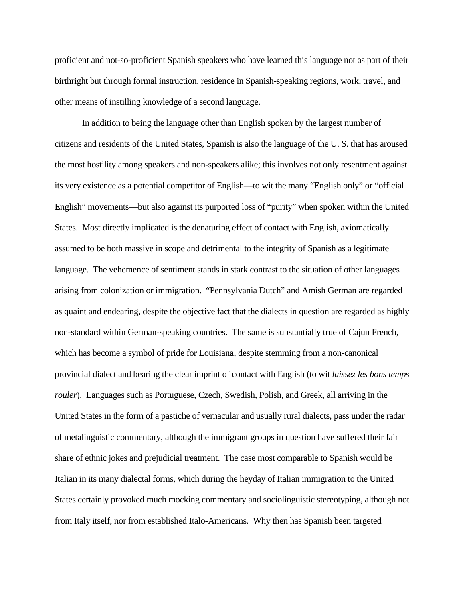proficient and not-so-proficient Spanish speakers who have learned this language not as part of their birthright but through formal instruction, residence in Spanish-speaking regions, work, travel, and other means of instilling knowledge of a second language.

In addition to being the language other than English spoken by the largest number of citizens and residents of the United States, Spanish is also the language of the U. S. that has aroused the most hostility among speakers and non-speakers alike; this involves not only resentment against its very existence as a potential competitor of English—to wit the many "English only" or "official English" movements—but also against its purported loss of "purity" when spoken within the United States. Most directly implicated is the denaturing effect of contact with English, axiomatically assumed to be both massive in scope and detrimental to the integrity of Spanish as a legitimate language. The vehemence of sentiment stands in stark contrast to the situation of other languages arising from colonization or immigration. "Pennsylvania Dutch" and Amish German are regarded as quaint and endearing, despite the objective fact that the dialects in question are regarded as highly non-standard within German-speaking countries. The same is substantially true of Cajun French, which has become a symbol of pride for Louisiana, despite stemming from a non-canonical provincial dialect and bearing the clear imprint of contact with English (to wit *laissez les bons temps rouler*). Languages such as Portuguese, Czech, Swedish, Polish, and Greek, all arriving in the United States in the form of a pastiche of vernacular and usually rural dialects, pass under the radar of metalinguistic commentary, although the immigrant groups in question have suffered their fair share of ethnic jokes and prejudicial treatment. The case most comparable to Spanish would be Italian in its many dialectal forms, which during the heyday of Italian immigration to the United States certainly provoked much mocking commentary and sociolinguistic stereotyping, although not from Italy itself, nor from established Italo-Americans. Why then has Spanish been targeted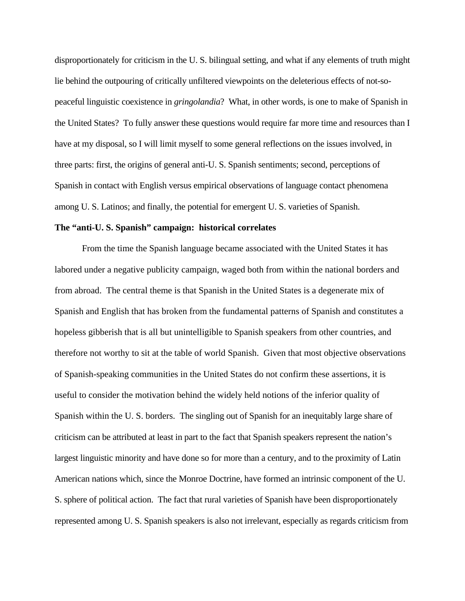disproportionately for criticism in the U. S. bilingual setting, and what if any elements of truth might lie behind the outpouring of critically unfiltered viewpoints on the deleterious effects of not-sopeaceful linguistic coexistence in *gringolandia*? What, in other words, is one to make of Spanish in the United States? To fully answer these questions would require far more time and resources than I have at my disposal, so I will limit myself to some general reflections on the issues involved, in three parts: first, the origins of general anti-U. S. Spanish sentiments; second, perceptions of Spanish in contact with English versus empirical observations of language contact phenomena among U. S. Latinos; and finally, the potential for emergent U. S. varieties of Spanish.

#### **The "anti-U. S. Spanish" campaign: historical correlates**

From the time the Spanish language became associated with the United States it has labored under a negative publicity campaign, waged both from within the national borders and from abroad. The central theme is that Spanish in the United States is a degenerate mix of Spanish and English that has broken from the fundamental patterns of Spanish and constitutes a hopeless gibberish that is all but unintelligible to Spanish speakers from other countries, and therefore not worthy to sit at the table of world Spanish. Given that most objective observations of Spanish-speaking communities in the United States do not confirm these assertions, it is useful to consider the motivation behind the widely held notions of the inferior quality of Spanish within the U. S. borders. The singling out of Spanish for an inequitably large share of criticism can be attributed at least in part to the fact that Spanish speakers represent the nation's largest linguistic minority and have done so for more than a century, and to the proximity of Latin American nations which, since the Monroe Doctrine, have formed an intrinsic component of the U. S. sphere of political action. The fact that rural varieties of Spanish have been disproportionately represented among U. S. Spanish speakers is also not irrelevant, especially as regards criticism from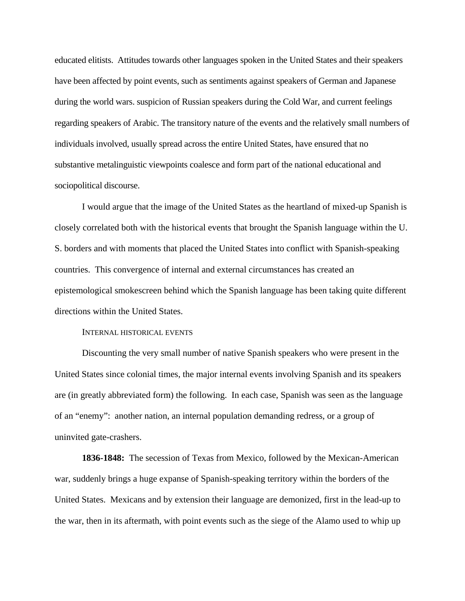educated elitists. Attitudes towards other languages spoken in the United States and their speakers have been affected by point events, such as sentiments against speakers of German and Japanese during the world wars. suspicion of Russian speakers during the Cold War, and current feelings regarding speakers of Arabic. The transitory nature of the events and the relatively small numbers of individuals involved, usually spread across the entire United States, have ensured that no substantive metalinguistic viewpoints coalesce and form part of the national educational and sociopolitical discourse.

I would argue that the image of the United States as the heartland of mixed-up Spanish is closely correlated both with the historical events that brought the Spanish language within the U. S. borders and with moments that placed the United States into conflict with Spanish-speaking countries. This convergence of internal and external circumstances has created an epistemological smokescreen behind which the Spanish language has been taking quite different directions within the United States.

#### INTERNAL HISTORICAL EVENTS

Discounting the very small number of native Spanish speakers who were present in the United States since colonial times, the major internal events involving Spanish and its speakers are (in greatly abbreviated form) the following. In each case, Spanish was seen as the language of an "enemy": another nation, an internal population demanding redress, or a group of uninvited gate-crashers.

**1836-1848:** The secession of Texas from Mexico, followed by the Mexican-American war, suddenly brings a huge expanse of Spanish-speaking territory within the borders of the United States. Mexicans and by extension their language are demonized, first in the lead-up to the war, then in its aftermath, with point events such as the siege of the Alamo used to whip up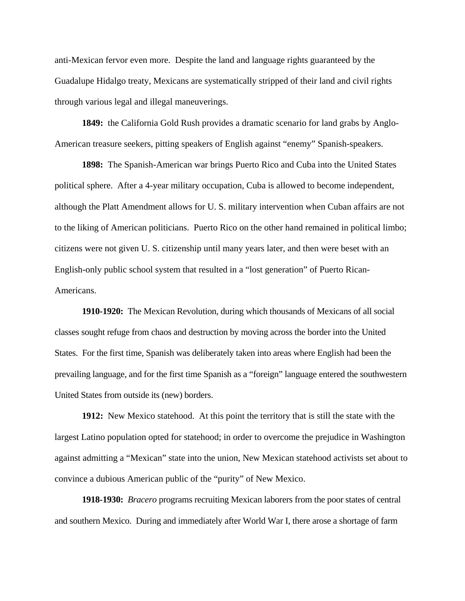anti-Mexican fervor even more. Despite the land and language rights guaranteed by the Guadalupe Hidalgo treaty, Mexicans are systematically stripped of their land and civil rights through various legal and illegal maneuverings.

**1849:** the California Gold Rush provides a dramatic scenario for land grabs by Anglo-American treasure seekers, pitting speakers of English against "enemy" Spanish-speakers.

**1898:** The Spanish-American war brings Puerto Rico and Cuba into the United States political sphere. After a 4-year military occupation, Cuba is allowed to become independent, although the Platt Amendment allows for U. S. military intervention when Cuban affairs are not to the liking of American politicians. Puerto Rico on the other hand remained in political limbo; citizens were not given U. S. citizenship until many years later, and then were beset with an English-only public school system that resulted in a "lost generation" of Puerto Rican-Americans.

**1910-1920:** The Mexican Revolution, during which thousands of Mexicans of all social classes sought refuge from chaos and destruction by moving across the border into the United States. For the first time, Spanish was deliberately taken into areas where English had been the prevailing language, and for the first time Spanish as a "foreign" language entered the southwestern United States from outside its (new) borders.

**1912:** New Mexico statehood. At this point the territory that is still the state with the largest Latino population opted for statehood; in order to overcome the prejudice in Washington against admitting a "Mexican" state into the union, New Mexican statehood activists set about to convince a dubious American public of the "purity" of New Mexico.

**1918-1930:** *Bracero* programs recruiting Mexican laborers from the poor states of central and southern Mexico. During and immediately after World War I, there arose a shortage of farm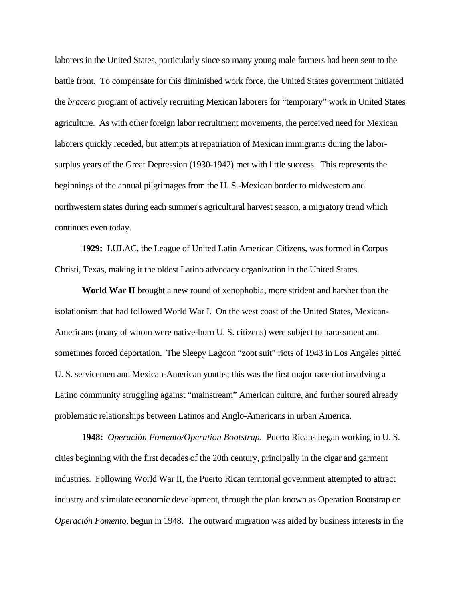laborers in the United States, particularly since so many young male farmers had been sent to the battle front. To compensate for this diminished work force, the United States government initiated the *bracero* program of actively recruiting Mexican laborers for "temporary" work in United States agriculture. As with other foreign labor recruitment movements, the perceived need for Mexican laborers quickly receded, but attempts at repatriation of Mexican immigrants during the laborsurplus years of the Great Depression (1930-1942) met with little success. This represents the beginnings of the annual pilgrimages from the U. S.-Mexican border to midwestern and northwestern states during each summer's agricultural harvest season, a migratory trend which continues even today.

**1929:** LULAC, the League of United Latin American Citizens, was formed in Corpus Christi, Texas, making it the oldest Latino advocacy organization in the United States.

**World War II** brought a new round of xenophobia, more strident and harsher than the isolationism that had followed World War I. On the west coast of the United States, Mexican-Americans (many of whom were native-born U. S. citizens) were subject to harassment and sometimes forced deportation. The Sleepy Lagoon "zoot suit" riots of 1943 in Los Angeles pitted U. S. servicemen and Mexican-American youths; this was the first major race riot involving a Latino community struggling against "mainstream" American culture, and further soured already problematic relationships between Latinos and Anglo-Americans in urban America.

**1948:** *Operación Fomento/Operation Bootstrap*. Puerto Ricans began working in U. S. cities beginning with the first decades of the 20th century, principally in the cigar and garment industries. Following World War II, the Puerto Rican territorial government attempted to attract industry and stimulate economic development, through the plan known as Operation Bootstrap or *Operación Fomento*, begun in 1948. The outward migration was aided by business interests in the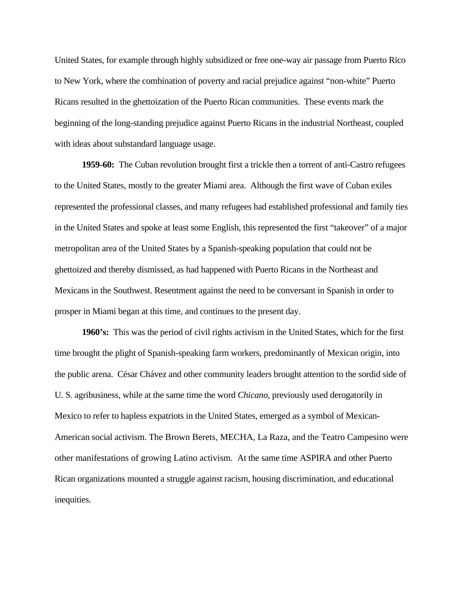United States, for example through highly subsidized or free one-way air passage from Puerto Rico to New York, where the combination of poverty and racial prejudice against "non-white" Puerto Ricans resulted in the ghettoization of the Puerto Rican communities. These events mark the beginning of the long-standing prejudice against Puerto Ricans in the industrial Northeast, coupled with ideas about substandard language usage.

**1959-60:** The Cuban revolution brought first a trickle then a torrent of anti-Castro refugees to the United States, mostly to the greater Miami area. Although the first wave of Cuban exiles represented the professional classes, and many refugees had established professional and family ties in the United States and spoke at least some English, this represented the first "takeover" of a major metropolitan area of the United States by a Spanish-speaking population that could not be ghettoized and thereby dismissed, as had happened with Puerto Ricans in the Northeast and Mexicans in the Southwest. Resentment against the need to be conversant in Spanish in order to prosper in Miami began at this time, and continues to the present day.

**1960's:** This was the period of civil rights activism in the United States, which for the first time brought the plight of Spanish-speaking farm workers, predominantly of Mexican origin, into the public arena. César Chávez and other community leaders brought attention to the sordid side of U. S. agribusiness, while at the same time the word *Chicano,* previously used derogatorily in Mexico to refer to hapless expatriots in the United States, emerged as a symbol of Mexican-American social activism. The Brown Berets, MECHA, La Raza, and the Teatro Campesino were other manifestations of growing Latino activism. At the same time ASPIRA and other Puerto Rican organizations mounted a struggle against racism, housing discrimination, and educational inequities.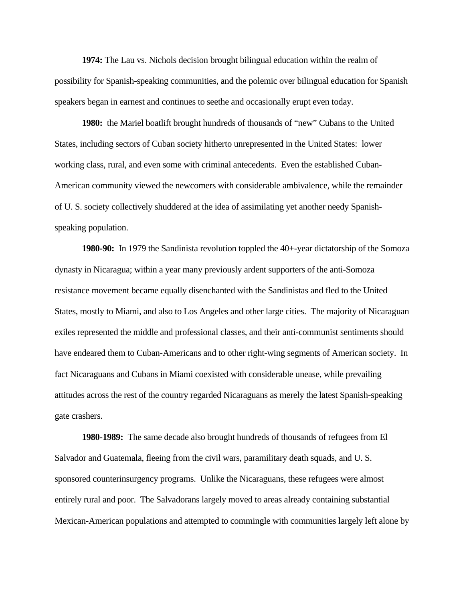**1974:** The Lau vs. Nichols decision brought bilingual education within the realm of possibility for Spanish-speaking communities, and the polemic over bilingual education for Spanish speakers began in earnest and continues to seethe and occasionally erupt even today.

**1980:** the Mariel boatlift brought hundreds of thousands of "new" Cubans to the United States, including sectors of Cuban society hitherto unrepresented in the United States: lower working class, rural, and even some with criminal antecedents. Even the established Cuban-American community viewed the newcomers with considerable ambivalence, while the remainder of U. S. society collectively shuddered at the idea of assimilating yet another needy Spanishspeaking population.

**1980-90:** In 1979 the Sandinista revolution toppled the 40+-year dictatorship of the Somoza dynasty in Nicaragua; within a year many previously ardent supporters of the anti-Somoza resistance movement became equally disenchanted with the Sandinistas and fled to the United States, mostly to Miami, and also to Los Angeles and other large cities. The majority of Nicaraguan exiles represented the middle and professional classes, and their anti-communist sentiments should have endeared them to Cuban-Americans and to other right-wing segments of American society. In fact Nicaraguans and Cubans in Miami coexisted with considerable unease, while prevailing attitudes across the rest of the country regarded Nicaraguans as merely the latest Spanish-speaking gate crashers.

**1980-1989:** The same decade also brought hundreds of thousands of refugees from El Salvador and Guatemala, fleeing from the civil wars, paramilitary death squads, and U. S. sponsored counterinsurgency programs. Unlike the Nicaraguans, these refugees were almost entirely rural and poor. The Salvadorans largely moved to areas already containing substantial Mexican-American populations and attempted to commingle with communities largely left alone by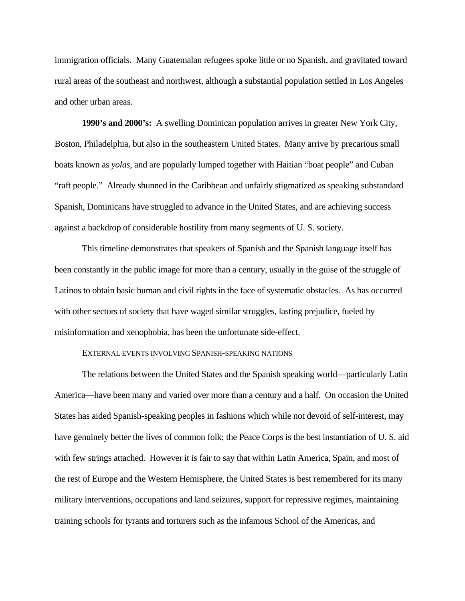immigration officials. Many Guatemalan refugees spoke little or no Spanish, and gravitated toward rural areas of the southeast and northwest, although a substantial population settled in Los Angeles and other urban areas.

**1990's and 2000's:** A swelling Dominican population arrives in greater New York City, Boston, Philadelphia, but also in the southeastern United States. Many arrive by precarious small boats known as *yolas,* and are popularly lumped together with Haitian "boat people" and Cuban "raft people." Already shunned in the Caribbean and unfairly stigmatized as speaking substandard Spanish, Dominicans have struggled to advance in the United States, and are achieving success against a backdrop of considerable hostility from many segments of U. S. society.

This timeline demonstrates that speakers of Spanish and the Spanish language itself has been constantly in the public image for more than a century, usually in the guise of the struggle of Latinos to obtain basic human and civil rights in the face of systematic obstacles. As has occurred with other sectors of society that have waged similar struggles, lasting prejudice, fueled by misinformation and xenophobia, has been the unfortunate side-effect.

#### EXTERNAL EVENTS INVOLVING SPANISH-SPEAKING NATIONS

The relations between the United States and the Spanish speaking world—particularly Latin America—have been many and varied over more than a century and a half. On occasion the United States has aided Spanish-speaking peoples in fashions which while not devoid of self-interest, may have genuinely better the lives of common folk; the Peace Corps is the best instantiation of U. S. aid with few strings attached. However it is fair to say that within Latin America, Spain, and most of the rest of Europe and the Western Hemisphere, the United States is best remembered for its many military interventions, occupations and land seizures, support for repressive regimes, maintaining training schools for tyrants and torturers such as the infamous School of the Americas, and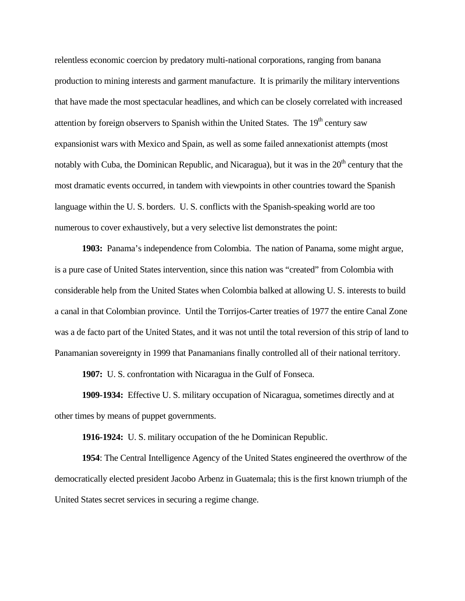relentless economic coercion by predatory multi-national corporations, ranging from banana production to mining interests and garment manufacture. It is primarily the military interventions that have made the most spectacular headlines, and which can be closely correlated with increased attention by foreign observers to Spanish within the United States. The  $19<sup>th</sup>$  century saw expansionist wars with Mexico and Spain, as well as some failed annexationist attempts (most notably with Cuba, the Dominican Republic, and Nicaragua), but it was in the  $20<sup>th</sup>$  century that the most dramatic events occurred, in tandem with viewpoints in other countries toward the Spanish language within the U. S. borders. U. S. conflicts with the Spanish-speaking world are too numerous to cover exhaustively, but a very selective list demonstrates the point:

**1903:** Panama's independence from Colombia. The nation of Panama, some might argue, is a pure case of United States intervention, since this nation was "created" from Colombia with considerable help from the United States when Colombia balked at allowing U. S. interests to build a canal in that Colombian province. Until the Torrijos-Carter treaties of 1977 the entire Canal Zone was a de facto part of the United States, and it was not until the total reversion of this strip of land to Panamanian sovereignty in 1999 that Panamanians finally controlled all of their national territory.

**1907:** U. S. confrontation with Nicaragua in the Gulf of Fonseca.

**1909-1934:** Effective U. S. military occupation of Nicaragua, sometimes directly and at other times by means of puppet governments.

**1916-1924:** U. S. military occupation of the he Dominican Republic.

**1954**: The Central Intelligence Agency of the United States engineered the overthrow of the democratically elected president Jacobo Arbenz in Guatemala; this is the first known triumph of the United States secret services in securing a regime change.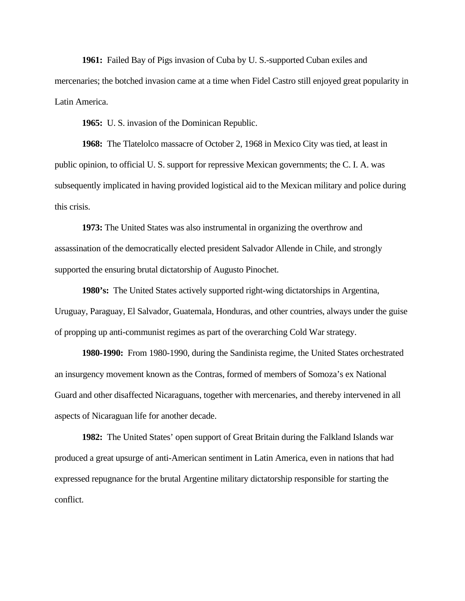**1961:** Failed Bay of Pigs invasion of Cuba by U. S.-supported Cuban exiles and mercenaries; the botched invasion came at a time when Fidel Castro still enjoyed great popularity in Latin America.

**1965:** U. S. invasion of the Dominican Republic.

**1968:** The Tlatelolco massacre of October 2, 1968 in Mexico City was tied, at least in public opinion, to official U. S. support for repressive Mexican governments; the C. I. A. was subsequently implicated in having provided logistical aid to the Mexican military and police during this crisis.

**1973:** The United States was also instrumental in organizing the overthrow and assassination of the democratically elected president Salvador Allende in Chile, and strongly supported the ensuring brutal dictatorship of Augusto Pinochet.

**1980's:** The United States actively supported right-wing dictatorships in Argentina, Uruguay, Paraguay, El Salvador, Guatemala, Honduras, and other countries, always under the guise of propping up anti-communist regimes as part of the overarching Cold War strategy.

**1980-1990:** From 1980-1990, during the Sandinista regime, the United States orchestrated an insurgency movement known as the Contras, formed of members of Somoza's ex National Guard and other disaffected Nicaraguans, together with mercenaries, and thereby intervened in all aspects of Nicaraguan life for another decade.

**1982:** The United States' open support of Great Britain during the Falkland Islands war produced a great upsurge of anti-American sentiment in Latin America, even in nations that had expressed repugnance for the brutal Argentine military dictatorship responsible for starting the conflict.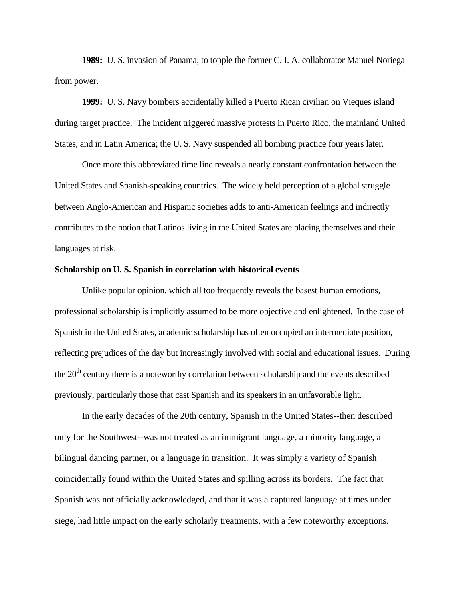**1989:** U. S. invasion of Panama, to topple the former C. I. A. collaborator Manuel Noriega from power.

**1999:** U. S. Navy bombers accidentally killed a Puerto Rican civilian on Vieques island during target practice. The incident triggered massive protests in Puerto Rico, the mainland United States, and in Latin America; the U. S. Navy suspended all bombing practice four years later.

Once more this abbreviated time line reveals a nearly constant confrontation between the United States and Spanish-speaking countries. The widely held perception of a global struggle between Anglo-American and Hispanic societies adds to anti-American feelings and indirectly contributes to the notion that Latinos living in the United States are placing themselves and their languages at risk.

### **Scholarship on U. S. Spanish in correlation with historical events**

Unlike popular opinion, which all too frequently reveals the basest human emotions, professional scholarship is implicitly assumed to be more objective and enlightened. In the case of Spanish in the United States, academic scholarship has often occupied an intermediate position, reflecting prejudices of the day but increasingly involved with social and educational issues. During the  $20<sup>th</sup>$  century there is a noteworthy correlation between scholarship and the events described previously, particularly those that cast Spanish and its speakers in an unfavorable light.

In the early decades of the 20th century, Spanish in the United States--then described only for the Southwest--was not treated as an immigrant language, a minority language, a bilingual dancing partner, or a language in transition. It was simply a variety of Spanish coincidentally found within the United States and spilling across its borders. The fact that Spanish was not officially acknowledged, and that it was a captured language at times under siege, had little impact on the early scholarly treatments, with a few noteworthy exceptions.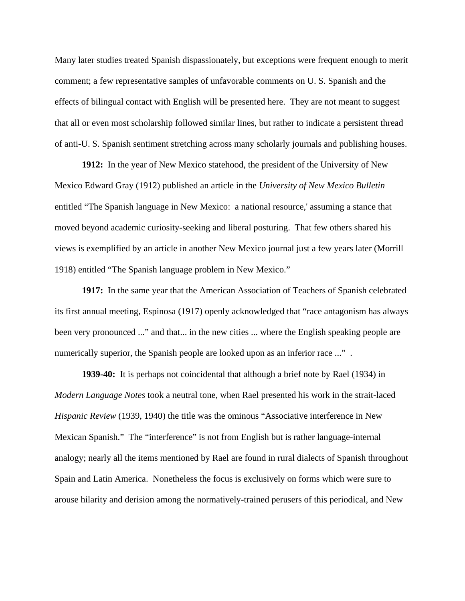Many later studies treated Spanish dispassionately, but exceptions were frequent enough to merit comment; a few representative samples of unfavorable comments on U. S. Spanish and the effects of bilingual contact with English will be presented here. They are not meant to suggest that all or even most scholarship followed similar lines, but rather to indicate a persistent thread of anti-U. S. Spanish sentiment stretching across many scholarly journals and publishing houses.

**1912:** In the year of New Mexico statehood, the president of the University of New Mexico Edward Gray (1912) published an article in the *University of New Mexico Bulletin* entitled "The Spanish language in New Mexico: a national resource,' assuming a stance that moved beyond academic curiosity-seeking and liberal posturing. That few others shared his views is exemplified by an article in another New Mexico journal just a few years later (Morrill 1918) entitled "The Spanish language problem in New Mexico."

**1917:** In the same year that the American Association of Teachers of Spanish celebrated its first annual meeting, Espinosa (1917) openly acknowledged that "race antagonism has always been very pronounced ..." and that... in the new cities ... where the English speaking people are numerically superior, the Spanish people are looked upon as an inferior race ...".

**1939-40:** It is perhaps not coincidental that although a brief note by Rael (1934) in *Modern Language Notes* took a neutral tone, when Rael presented his work in the strait-laced *Hispanic Review* (1939, 1940) the title was the ominous "Associative interference in New Mexican Spanish." The "interference" is not from English but is rather language-internal analogy; nearly all the items mentioned by Rael are found in rural dialects of Spanish throughout Spain and Latin America. Nonetheless the focus is exclusively on forms which were sure to arouse hilarity and derision among the normatively-trained perusers of this periodical, and New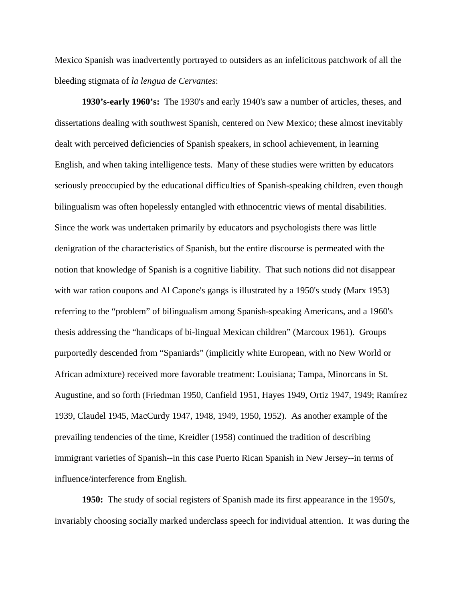Mexico Spanish was inadvertently portrayed to outsiders as an infelicitous patchwork of all the bleeding stigmata of *la lengua de Cervantes*:

**1930's-early 1960's:** The 1930's and early 1940's saw a number of articles, theses, and dissertations dealing with southwest Spanish, centered on New Mexico; these almost inevitably dealt with perceived deficiencies of Spanish speakers, in school achievement, in learning English, and when taking intelligence tests. Many of these studies were written by educators seriously preoccupied by the educational difficulties of Spanish-speaking children, even though bilingualism was often hopelessly entangled with ethnocentric views of mental disabilities. Since the work was undertaken primarily by educators and psychologists there was little denigration of the characteristics of Spanish, but the entire discourse is permeated with the notion that knowledge of Spanish is a cognitive liability. That such notions did not disappear with war ration coupons and Al Capone's gangs is illustrated by a 1950's study (Marx 1953) referring to the "problem" of bilingualism among Spanish-speaking Americans, and a 1960's thesis addressing the "handicaps of bi-lingual Mexican children" (Marcoux 1961). Groups purportedly descended from "Spaniards" (implicitly white European, with no New World or African admixture) received more favorable treatment: Louisiana; Tampa, Minorcans in St. Augustine, and so forth (Friedman 1950, Canfield 1951, Hayes 1949, Ortiz 1947, 1949; Ramírez 1939, Claudel 1945, MacCurdy 1947, 1948, 1949, 1950, 1952). As another example of the prevailing tendencies of the time, Kreidler (1958) continued the tradition of describing immigrant varieties of Spanish--in this case Puerto Rican Spanish in New Jersey--in terms of influence/interference from English.

**1950:** The study of social registers of Spanish made its first appearance in the 1950's, invariably choosing socially marked underclass speech for individual attention. It was during the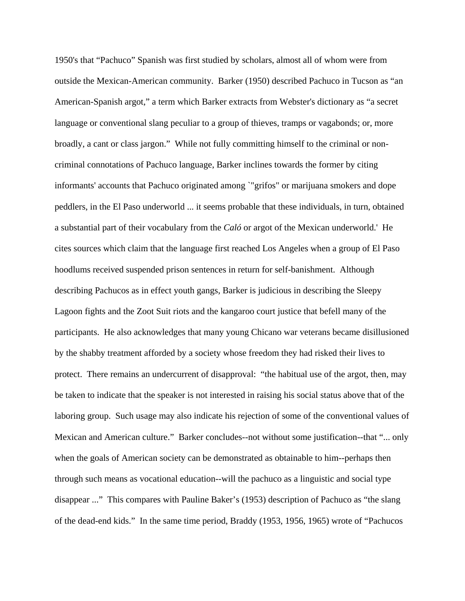1950's that "Pachuco" Spanish was first studied by scholars, almost all of whom were from outside the Mexican-American community. Barker (1950) described Pachuco in Tucson as "an American-Spanish argot," a term which Barker extracts from Webster's dictionary as "a secret language or conventional slang peculiar to a group of thieves, tramps or vagabonds; or, more broadly, a cant or class jargon." While not fully committing himself to the criminal or noncriminal connotations of Pachuco language, Barker inclines towards the former by citing informants' accounts that Pachuco originated among `"grifos" or marijuana smokers and dope peddlers, in the El Paso underworld ... it seems probable that these individuals, in turn, obtained a substantial part of their vocabulary from the *Caló* or argot of the Mexican underworld.' He cites sources which claim that the language first reached Los Angeles when a group of El Paso hoodlums received suspended prison sentences in return for self-banishment. Although describing Pachucos as in effect youth gangs, Barker is judicious in describing the Sleepy Lagoon fights and the Zoot Suit riots and the kangaroo court justice that befell many of the participants. He also acknowledges that many young Chicano war veterans became disillusioned by the shabby treatment afforded by a society whose freedom they had risked their lives to protect. There remains an undercurrent of disapproval: "the habitual use of the argot, then, may be taken to indicate that the speaker is not interested in raising his social status above that of the laboring group. Such usage may also indicate his rejection of some of the conventional values of Mexican and American culture." Barker concludes--not without some justification--that "... only when the goals of American society can be demonstrated as obtainable to him--perhaps then through such means as vocational education--will the pachuco as a linguistic and social type disappear ..." This compares with Pauline Baker's (1953) description of Pachuco as "the slang of the dead-end kids." In the same time period, Braddy (1953, 1956, 1965) wrote of "Pachucos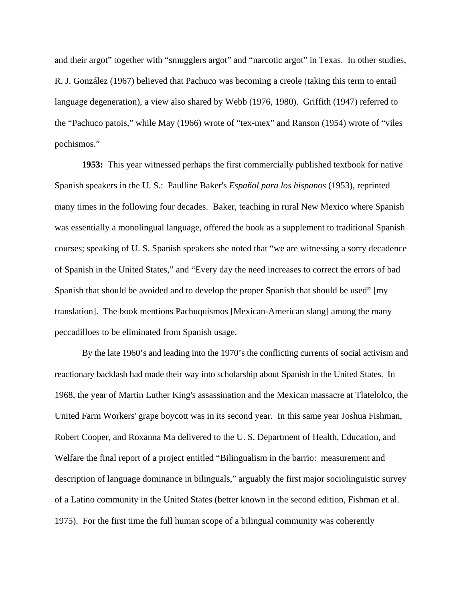and their argot" together with "smugglers argot" and "narcotic argot" in Texas. In other studies, R. J. González (1967) believed that Pachuco was becoming a creole (taking this term to entail language degeneration), a view also shared by Webb (1976, 1980). Griffith (1947) referred to the "Pachuco patois," while May (1966) wrote of "tex-mex" and Ranson (1954) wrote of "viles pochismos."

**1953:** This year witnessed perhaps the first commercially published textbook for native Spanish speakers in the U. S.: Paulline Baker's *Español para los hispanos* (1953), reprinted many times in the following four decades. Baker, teaching in rural New Mexico where Spanish was essentially a monolingual language, offered the book as a supplement to traditional Spanish courses; speaking of U. S. Spanish speakers she noted that "we are witnessing a sorry decadence of Spanish in the United States," and "Every day the need increases to correct the errors of bad Spanish that should be avoided and to develop the proper Spanish that should be used" [my translation]. The book mentions Pachuquismos [Mexican-American slang] among the many peccadilloes to be eliminated from Spanish usage.

By the late 1960's and leading into the 1970's the conflicting currents of social activism and reactionary backlash had made their way into scholarship about Spanish in the United States. In 1968, the year of Martin Luther King's assassination and the Mexican massacre at Tlatelolco, the United Farm Workers' grape boycott was in its second year. In this same year Joshua Fishman, Robert Cooper, and Roxanna Ma delivered to the U. S. Department of Health, Education, and Welfare the final report of a project entitled "Bilingualism in the barrio: measurement and description of language dominance in bilinguals," arguably the first major sociolinguistic survey of a Latino community in the United States (better known in the second edition, Fishman et al. 1975). For the first time the full human scope of a bilingual community was coherently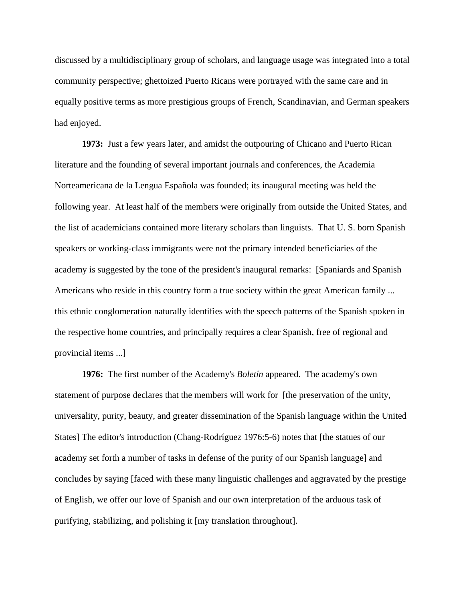discussed by a multidisciplinary group of scholars, and language usage was integrated into a total community perspective; ghettoized Puerto Ricans were portrayed with the same care and in equally positive terms as more prestigious groups of French, Scandinavian, and German speakers had enjoyed.

**1973:** Just a few years later, and amidst the outpouring of Chicano and Puerto Rican literature and the founding of several important journals and conferences, the Academia Norteamericana de la Lengua Española was founded; its inaugural meeting was held the following year. At least half of the members were originally from outside the United States, and the list of academicians contained more literary scholars than linguists. That U. S. born Spanish speakers or working-class immigrants were not the primary intended beneficiaries of the academy is suggested by the tone of the president's inaugural remarks: [Spaniards and Spanish Americans who reside in this country form a true society within the great American family ... this ethnic conglomeration naturally identifies with the speech patterns of the Spanish spoken in the respective home countries, and principally requires a clear Spanish, free of regional and provincial items ...]

**1976:** The first number of the Academy's *Boletín* appeared. The academy's own statement of purpose declares that the members will work for [the preservation of the unity, universality, purity, beauty, and greater dissemination of the Spanish language within the United States] The editor's introduction (Chang-Rodríguez 1976:5-6) notes that [the statues of our academy set forth a number of tasks in defense of the purity of our Spanish language] and concludes by saying [faced with these many linguistic challenges and aggravated by the prestige of English, we offer our love of Spanish and our own interpretation of the arduous task of purifying, stabilizing, and polishing it [my translation throughout].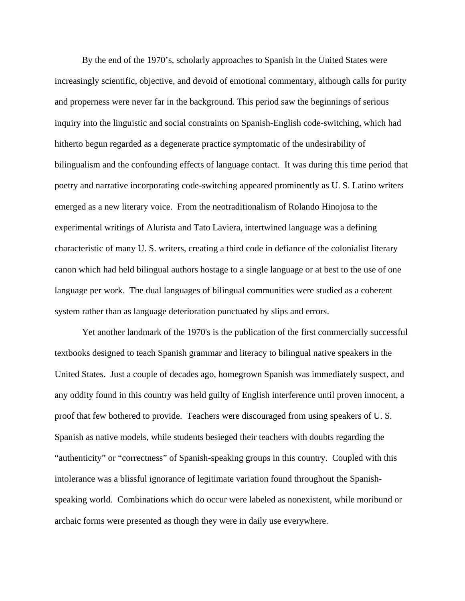By the end of the 1970's, scholarly approaches to Spanish in the United States were increasingly scientific, objective, and devoid of emotional commentary, although calls for purity and properness were never far in the background. This period saw the beginnings of serious inquiry into the linguistic and social constraints on Spanish-English code-switching, which had hitherto begun regarded as a degenerate practice symptomatic of the undesirability of bilingualism and the confounding effects of language contact. It was during this time period that poetry and narrative incorporating code-switching appeared prominently as U. S. Latino writers emerged as a new literary voice. From the neotraditionalism of Rolando Hinojosa to the experimental writings of Alurista and Tato Laviera, intertwined language was a defining characteristic of many U. S. writers, creating a third code in defiance of the colonialist literary canon which had held bilingual authors hostage to a single language or at best to the use of one language per work. The dual languages of bilingual communities were studied as a coherent system rather than as language deterioration punctuated by slips and errors.

Yet another landmark of the 1970's is the publication of the first commercially successful textbooks designed to teach Spanish grammar and literacy to bilingual native speakers in the United States. Just a couple of decades ago, homegrown Spanish was immediately suspect, and any oddity found in this country was held guilty of English interference until proven innocent, a proof that few bothered to provide. Teachers were discouraged from using speakers of U. S. Spanish as native models, while students besieged their teachers with doubts regarding the "authenticity" or "correctness" of Spanish-speaking groups in this country. Coupled with this intolerance was a blissful ignorance of legitimate variation found throughout the Spanishspeaking world. Combinations which do occur were labeled as nonexistent, while moribund or archaic forms were presented as though they were in daily use everywhere.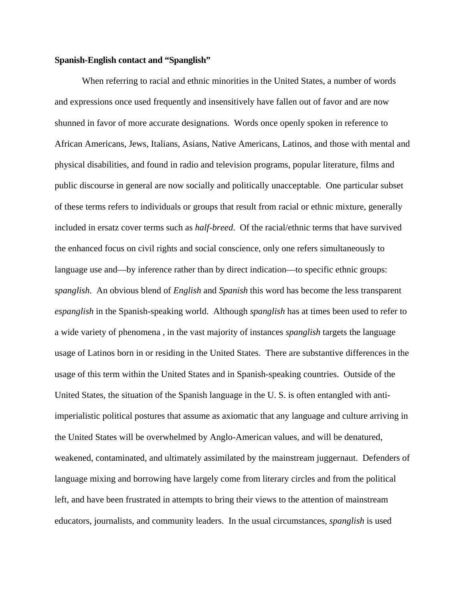### **Spanish-English contact and "Spanglish"**

When referring to racial and ethnic minorities in the United States, a number of words and expressions once used frequently and insensitively have fallen out of favor and are now shunned in favor of more accurate designations. Words once openly spoken in reference to African Americans, Jews, Italians, Asians, Native Americans, Latinos, and those with mental and physical disabilities, and found in radio and television programs, popular literature, films and public discourse in general are now socially and politically unacceptable. One particular subset of these terms refers to individuals or groups that result from racial or ethnic mixture, generally included in ersatz cover terms such as *half-breed*. Of the racial/ethnic terms that have survived the enhanced focus on civil rights and social conscience, only one refers simultaneously to language use and—by inference rather than by direct indication—to specific ethnic groups: *spanglish*. An obvious blend of *English* and *Spanish* this word has become the less transparent *espanglish* in the Spanish-speaking world. Although *spanglish* has at times been used to refer to a wide variety of phenomena , in the vast majority of instances *spanglish* targets the language usage of Latinos born in or residing in the United States. There are substantive differences in the usage of this term within the United States and in Spanish-speaking countries. Outside of the United States, the situation of the Spanish language in the U. S. is often entangled with antiimperialistic political postures that assume as axiomatic that any language and culture arriving in the United States will be overwhelmed by Anglo-American values, and will be denatured, weakened, contaminated, and ultimately assimilated by the mainstream juggernaut. Defenders of language mixing and borrowing have largely come from literary circles and from the political left, and have been frustrated in attempts to bring their views to the attention of mainstream educators, journalists, and community leaders. In the usual circumstances, *spanglish* is used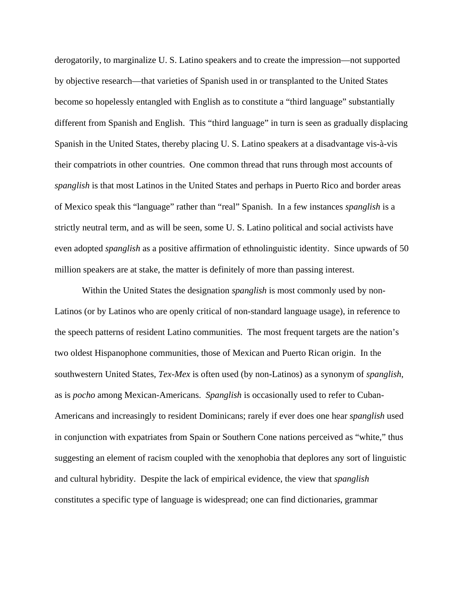derogatorily, to marginalize U. S. Latino speakers and to create the impression—not supported by objective research—that varieties of Spanish used in or transplanted to the United States become so hopelessly entangled with English as to constitute a "third language" substantially different from Spanish and English. This "third language" in turn is seen as gradually displacing Spanish in the United States, thereby placing U. S. Latino speakers at a disadvantage vis-à-vis their compatriots in other countries. One common thread that runs through most accounts of *spanglish* is that most Latinos in the United States and perhaps in Puerto Rico and border areas of Mexico speak this "language" rather than "real" Spanish. In a few instances *spanglish* is a strictly neutral term, and as will be seen, some U. S. Latino political and social activists have even adopted *spanglish* as a positive affirmation of ethnolinguistic identity. Since upwards of 50 million speakers are at stake, the matter is definitely of more than passing interest.

Within the United States the designation *spanglish* is most commonly used by non-Latinos (or by Latinos who are openly critical of non-standard language usage), in reference to the speech patterns of resident Latino communities. The most frequent targets are the nation's two oldest Hispanophone communities, those of Mexican and Puerto Rican origin. In the southwestern United States, *Tex-Mex* is often used (by non-Latinos) as a synonym of *spanglish*, as is *pocho* among Mexican-Americans. *Spanglish* is occasionally used to refer to Cuban-Americans and increasingly to resident Dominicans; rarely if ever does one hear *spanglish* used in conjunction with expatriates from Spain or Southern Cone nations perceived as "white," thus suggesting an element of racism coupled with the xenophobia that deplores any sort of linguistic and cultural hybridity. Despite the lack of empirical evidence, the view that *spanglish* constitutes a specific type of language is widespread; one can find dictionaries, grammar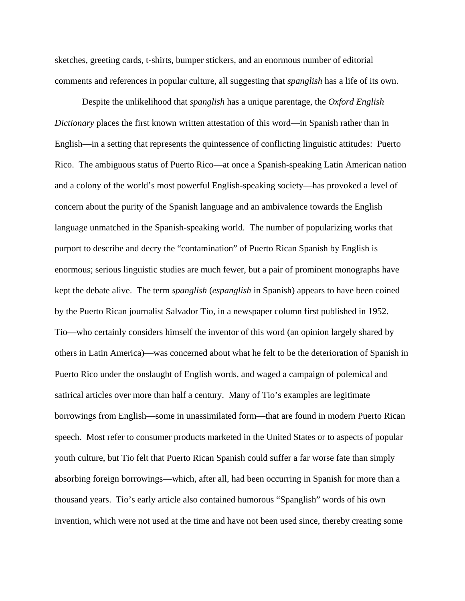sketches, greeting cards, t-shirts, bumper stickers, and an enormous number of editorial comments and references in popular culture, all suggesting that *spanglish* has a life of its own.

Despite the unlikelihood that *spanglish* has a unique parentage, the *Oxford English Dictionary* places the first known written attestation of this word—in Spanish rather than in English—in a setting that represents the quintessence of conflicting linguistic attitudes: Puerto Rico. The ambiguous status of Puerto Rico—at once a Spanish-speaking Latin American nation and a colony of the world's most powerful English-speaking society—has provoked a level of concern about the purity of the Spanish language and an ambivalence towards the English language unmatched in the Spanish-speaking world. The number of popularizing works that purport to describe and decry the "contamination" of Puerto Rican Spanish by English is enormous; serious linguistic studies are much fewer, but a pair of prominent monographs have kept the debate alive. The term *spanglish* (*espanglish* in Spanish) appears to have been coined by the Puerto Rican journalist Salvador Tio, in a newspaper column first published in 1952. Tio—who certainly considers himself the inventor of this word (an opinion largely shared by others in Latin America)—was concerned about what he felt to be the deterioration of Spanish in Puerto Rico under the onslaught of English words, and waged a campaign of polemical and satirical articles over more than half a century. Many of Tio's examples are legitimate borrowings from English—some in unassimilated form—that are found in modern Puerto Rican speech. Most refer to consumer products marketed in the United States or to aspects of popular youth culture, but Tio felt that Puerto Rican Spanish could suffer a far worse fate than simply absorbing foreign borrowings—which, after all, had been occurring in Spanish for more than a thousand years. Tio's early article also contained humorous "Spanglish" words of his own invention, which were not used at the time and have not been used since, thereby creating some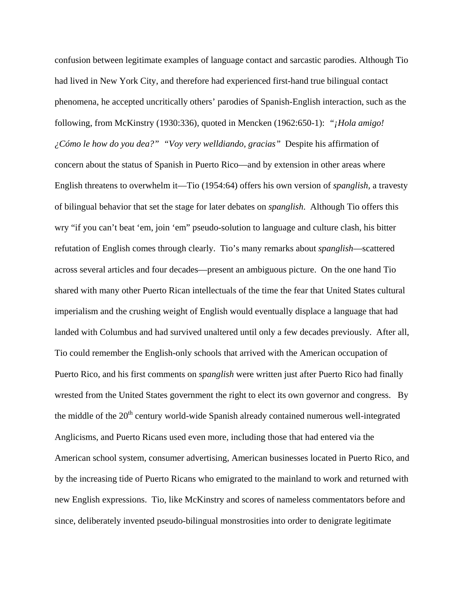confusion between legitimate examples of language contact and sarcastic parodies. Although Tio had lived in New York City, and therefore had experienced first-hand true bilingual contact phenomena, he accepted uncritically others' parodies of Spanish-English interaction, such as the following, from McKinstry (1930:336), quoted in Mencken (1962:650-1): *"¡Hola amigo! ¿Cómo le how do you dea?" "Voy very welldiando, gracias"* Despite his affirmation of concern about the status of Spanish in Puerto Rico—and by extension in other areas where English threatens to overwhelm it—Tio (1954:64) offers his own version of *spanglish,* a travesty of bilingual behavior that set the stage for later debates on *spanglish*. Although Tio offers this wry "if you can't beat 'em, join 'em" pseudo-solution to language and culture clash, his bitter refutation of English comes through clearly. Tio's many remarks about *spanglish*—scattered across several articles and four decades—present an ambiguous picture. On the one hand Tio shared with many other Puerto Rican intellectuals of the time the fear that United States cultural imperialism and the crushing weight of English would eventually displace a language that had landed with Columbus and had survived unaltered until only a few decades previously. After all, Tio could remember the English-only schools that arrived with the American occupation of Puerto Rico, and his first comments on *spanglish* were written just after Puerto Rico had finally wrested from the United States government the right to elect its own governor and congress. By the middle of the 20<sup>th</sup> century world-wide Spanish already contained numerous well-integrated Anglicisms, and Puerto Ricans used even more, including those that had entered via the American school system, consumer advertising, American businesses located in Puerto Rico, and by the increasing tide of Puerto Ricans who emigrated to the mainland to work and returned with new English expressions. Tio, like McKinstry and scores of nameless commentators before and since, deliberately invented pseudo-bilingual monstrosities into order to denigrate legitimate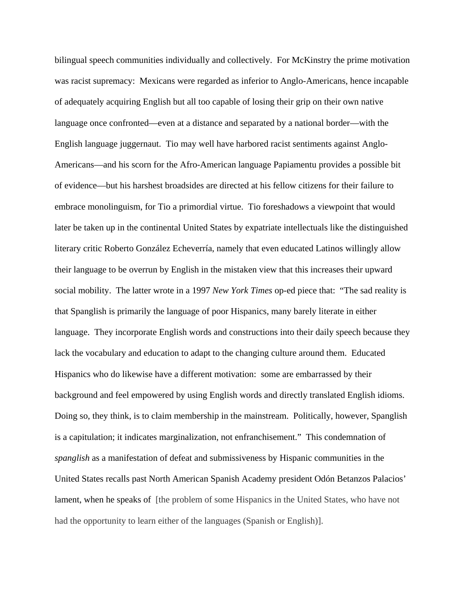bilingual speech communities individually and collectively. For McKinstry the prime motivation was racist supremacy: Mexicans were regarded as inferior to Anglo-Americans, hence incapable of adequately acquiring English but all too capable of losing their grip on their own native language once confronted—even at a distance and separated by a national border—with the English language juggernaut. Tio may well have harbored racist sentiments against Anglo-Americans—and his scorn for the Afro-American language Papiamentu provides a possible bit of evidence—but his harshest broadsides are directed at his fellow citizens for their failure to embrace monolinguism, for Tio a primordial virtue. Tio foreshadows a viewpoint that would later be taken up in the continental United States by expatriate intellectuals like the distinguished literary critic Roberto González Echeverría, namely that even educated Latinos willingly allow their language to be overrun by English in the mistaken view that this increases their upward social mobility. The latter wrote in a 1997 *New York Times* op-ed piece that: "The sad reality is that Spanglish is primarily the language of poor Hispanics, many barely literate in either language. They incorporate English words and constructions into their daily speech because they lack the vocabulary and education to adapt to the changing culture around them. Educated Hispanics who do likewise have a different motivation: some are embarrassed by their background and feel empowered by using English words and directly translated English idioms. Doing so, they think, is to claim membership in the mainstream. Politically, however, Spanglish is a capitulation; it indicates marginalization, not enfranchisement." This condemnation of *spanglish* as a manifestation of defeat and submissiveness by Hispanic communities in the United States recalls past North American Spanish Academy president Odón Betanzos Palacios' lament, when he speaks of [the problem of some Hispanics in the United States, who have not had the opportunity to learn either of the languages (Spanish or English)].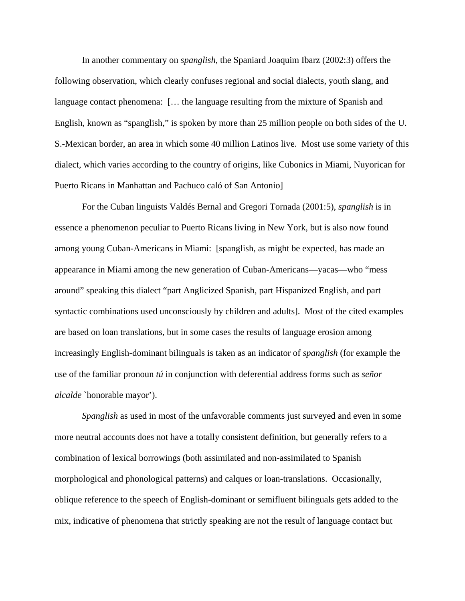In another commentary on *spanglish*, the Spaniard Joaquim Ibarz (2002:3) offers the following observation, which clearly confuses regional and social dialects, youth slang, and language contact phenomena: [… the language resulting from the mixture of Spanish and English, known as "spanglish," is spoken by more than 25 million people on both sides of the U. S.-Mexican border, an area in which some 40 million Latinos live. Most use some variety of this dialect, which varies according to the country of origins, like Cubonics in Miami, Nuyorican for Puerto Ricans in Manhattan and Pachuco caló of San Antonio]

For the Cuban linguists Valdés Bernal and Gregori Tornada (2001:5), *spanglish* is in essence a phenomenon peculiar to Puerto Ricans living in New York, but is also now found among young Cuban-Americans in Miami: [spanglish, as might be expected, has made an appearance in Miami among the new generation of Cuban-Americans—yacas—who "mess around" speaking this dialect "part Anglicized Spanish, part Hispanized English, and part syntactic combinations used unconsciously by children and adults]. Most of the cited examples are based on loan translations, but in some cases the results of language erosion among increasingly English-dominant bilinguals is taken as an indicator of *spanglish* (for example the use of the familiar pronoun *tú* in conjunction with deferential address forms such as *señor alcalde* `honorable mayor').

*Spanglish* as used in most of the unfavorable comments just surveyed and even in some more neutral accounts does not have a totally consistent definition, but generally refers to a combination of lexical borrowings (both assimilated and non-assimilated to Spanish morphological and phonological patterns) and calques or loan-translations. Occasionally, oblique reference to the speech of English-dominant or semifluent bilinguals gets added to the mix, indicative of phenomena that strictly speaking are not the result of language contact but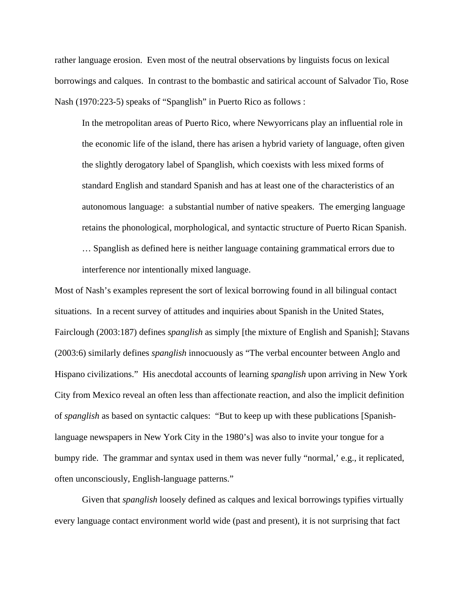rather language erosion. Even most of the neutral observations by linguists focus on lexical borrowings and calques. In contrast to the bombastic and satirical account of Salvador Tio, Rose Nash (1970:223-5) speaks of "Spanglish" in Puerto Rico as follows :

In the metropolitan areas of Puerto Rico, where Newyorricans play an influential role in the economic life of the island, there has arisen a hybrid variety of language, often given the slightly derogatory label of Spanglish, which coexists with less mixed forms of standard English and standard Spanish and has at least one of the characteristics of an autonomous language: a substantial number of native speakers. The emerging language retains the phonological, morphological, and syntactic structure of Puerto Rican Spanish.

… Spanglish as defined here is neither language containing grammatical errors due to interference nor intentionally mixed language.

Most of Nash's examples represent the sort of lexical borrowing found in all bilingual contact situations. In a recent survey of attitudes and inquiries about Spanish in the United States, Fairclough (2003:187) defines *spanglish* as simply [the mixture of English and Spanish]; Stavans (2003:6) similarly defines *spanglish* innocuously as "The verbal encounter between Anglo and Hispano civilizations." His anecdotal accounts of learning *spanglish* upon arriving in New York City from Mexico reveal an often less than affectionate reaction, and also the implicit definition of *spanglish* as based on syntactic calques: "But to keep up with these publications [Spanishlanguage newspapers in New York City in the 1980's] was also to invite your tongue for a bumpy ride. The grammar and syntax used in them was never fully "normal," e.g., it replicated, often unconsciously, English-language patterns."

Given that *spanglish* loosely defined as calques and lexical borrowings typifies virtually every language contact environment world wide (past and present), it is not surprising that fact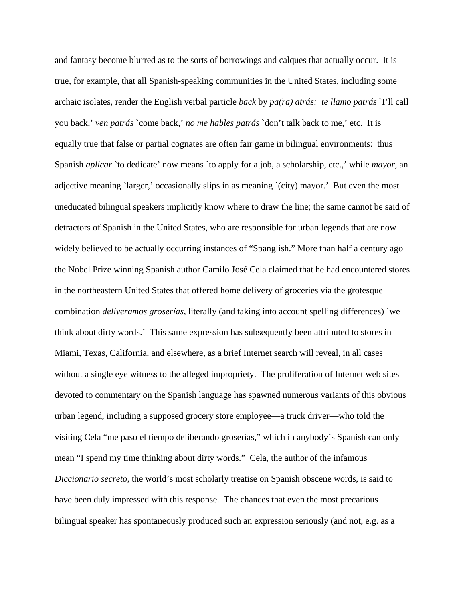and fantasy become blurred as to the sorts of borrowings and calques that actually occur. It is true, for example, that all Spanish-speaking communities in the United States, including some archaic isolates, render the English verbal particle *back* by *pa(ra) atrás: te llamo patrás* `I'll call you back,' *ven patrás* `come back,' *no me hables patrás* `don't talk back to me,' etc. It is equally true that false or partial cognates are often fair game in bilingual environments: thus Spanish *aplicar* `to dedicate' now means `to apply for a job, a scholarship, etc.,' while *mayor,* an adjective meaning `larger,' occasionally slips in as meaning `(city) mayor.' But even the most uneducated bilingual speakers implicitly know where to draw the line; the same cannot be said of detractors of Spanish in the United States, who are responsible for urban legends that are now widely believed to be actually occurring instances of "Spanglish." More than half a century ago the Nobel Prize winning Spanish author Camilo José Cela claimed that he had encountered stores in the northeastern United States that offered home delivery of groceries via the grotesque combination *deliveramos groserías,* literally (and taking into account spelling differences) `we think about dirty words.' This same expression has subsequently been attributed to stores in Miami, Texas, California, and elsewhere, as a brief Internet search will reveal, in all cases without a single eye witness to the alleged impropriety. The proliferation of Internet web sites devoted to commentary on the Spanish language has spawned numerous variants of this obvious urban legend, including a supposed grocery store employee—a truck driver—who told the visiting Cela "me paso el tiempo deliberando groserías," which in anybody's Spanish can only mean "I spend my time thinking about dirty words." Cela, the author of the infamous *Diccionario secreto*, the world's most scholarly treatise on Spanish obscene words, is said to have been duly impressed with this response. The chances that even the most precarious bilingual speaker has spontaneously produced such an expression seriously (and not, e.g. as a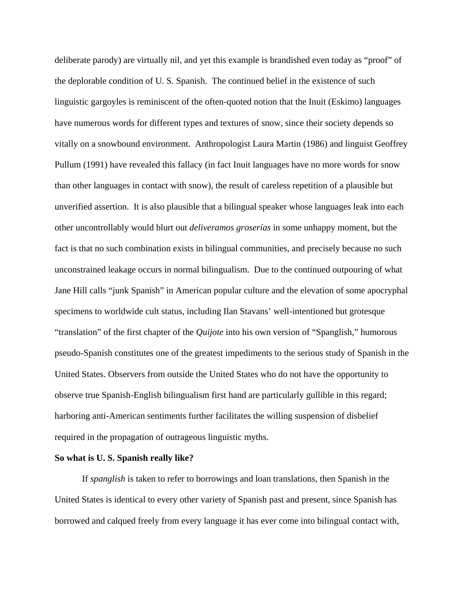deliberate parody) are virtually nil, and yet this example is brandished even today as "proof" of the deplorable condition of U. S. Spanish. The continued belief in the existence of such linguistic gargoyles is reminiscent of the often-quoted notion that the Inuit (Eskimo) languages have numerous words for different types and textures of snow, since their society depends so vitally on a snowbound environment. Anthropologist Laura Martin (1986) and linguist Geoffrey Pullum (1991) have revealed this fallacy (in fact Inuit languages have no more words for snow than other languages in contact with snow), the result of careless repetition of a plausible but unverified assertion. It is also plausible that a bilingual speaker whose languages leak into each other uncontrollably would blurt out *deliveramos groserías* in some unhappy moment, but the fact is that no such combination exists in bilingual communities, and precisely because no such unconstrained leakage occurs in normal bilingualism. Due to the continued outpouring of what Jane Hill calls "junk Spanish" in American popular culture and the elevation of some apocryphal specimens to worldwide cult status, including Ilan Stavans' well-intentioned but grotesque "translation" of the first chapter of the *Quijote* into his own version of "Spanglish," humorous pseudo-Spanish constitutes one of the greatest impediments to the serious study of Spanish in the United States. Observers from outside the United States who do not have the opportunity to observe true Spanish-English bilingualism first hand are particularly gullible in this regard; harboring anti-American sentiments further facilitates the willing suspension of disbelief required in the propagation of outrageous linguistic myths.

#### **So what is U. S. Spanish really like?**

If *spanglish* is taken to refer to borrowings and loan translations, then Spanish in the United States is identical to every other variety of Spanish past and present, since Spanish has borrowed and calqued freely from every language it has ever come into bilingual contact with,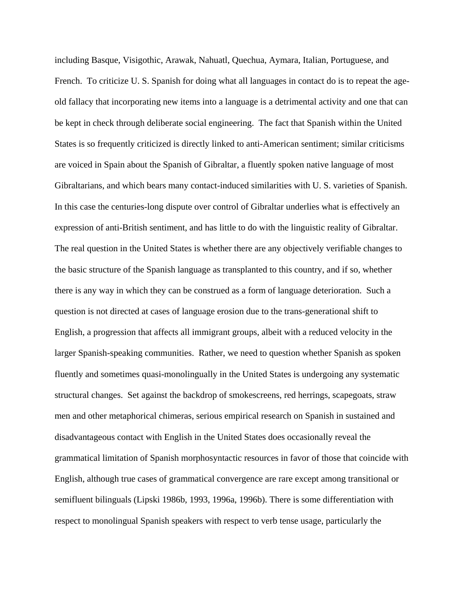including Basque, Visigothic, Arawak, Nahuatl, Quechua, Aymara, Italian, Portuguese, and French. To criticize U. S. Spanish for doing what all languages in contact do is to repeat the ageold fallacy that incorporating new items into a language is a detrimental activity and one that can be kept in check through deliberate social engineering. The fact that Spanish within the United States is so frequently criticized is directly linked to anti-American sentiment; similar criticisms are voiced in Spain about the Spanish of Gibraltar, a fluently spoken native language of most Gibraltarians, and which bears many contact-induced similarities with U. S. varieties of Spanish. In this case the centuries-long dispute over control of Gibraltar underlies what is effectively an expression of anti-British sentiment, and has little to do with the linguistic reality of Gibraltar. The real question in the United States is whether there are any objectively verifiable changes to the basic structure of the Spanish language as transplanted to this country, and if so, whether there is any way in which they can be construed as a form of language deterioration. Such a question is not directed at cases of language erosion due to the trans-generational shift to English, a progression that affects all immigrant groups, albeit with a reduced velocity in the larger Spanish-speaking communities. Rather, we need to question whether Spanish as spoken fluently and sometimes quasi-monolingually in the United States is undergoing any systematic structural changes. Set against the backdrop of smokescreens, red herrings, scapegoats, straw men and other metaphorical chimeras, serious empirical research on Spanish in sustained and disadvantageous contact with English in the United States does occasionally reveal the grammatical limitation of Spanish morphosyntactic resources in favor of those that coincide with English, although true cases of grammatical convergence are rare except among transitional or semifluent bilinguals (Lipski 1986b, 1993, 1996a, 1996b). There is some differentiation with respect to monolingual Spanish speakers with respect to verb tense usage, particularly the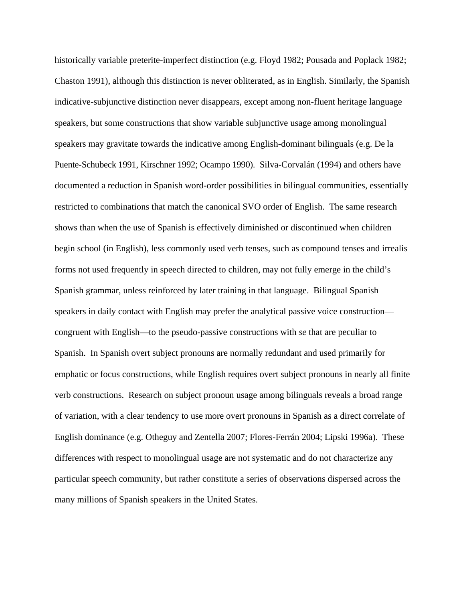historically variable preterite-imperfect distinction (e.g. Floyd 1982; Pousada and Poplack 1982; Chaston 1991), although this distinction is never obliterated, as in English. Similarly, the Spanish indicative-subjunctive distinction never disappears, except among non-fluent heritage language speakers, but some constructions that show variable subjunctive usage among monolingual speakers may gravitate towards the indicative among English-dominant bilinguals (e.g. De la Puente-Schubeck 1991, Kirschner 1992; Ocampo 1990). Silva-Corvalán (1994) and others have documented a reduction in Spanish word-order possibilities in bilingual communities, essentially restricted to combinations that match the canonical SVO order of English. The same research shows than when the use of Spanish is effectively diminished or discontinued when children begin school (in English), less commonly used verb tenses, such as compound tenses and irrealis forms not used frequently in speech directed to children, may not fully emerge in the child's Spanish grammar, unless reinforced by later training in that language. Bilingual Spanish speakers in daily contact with English may prefer the analytical passive voice construction congruent with English—to the pseudo-passive constructions with *se* that are peculiar to Spanish. In Spanish overt subject pronouns are normally redundant and used primarily for emphatic or focus constructions, while English requires overt subject pronouns in nearly all finite verb constructions. Research on subject pronoun usage among bilinguals reveals a broad range of variation, with a clear tendency to use more overt pronouns in Spanish as a direct correlate of English dominance (e.g. Otheguy and Zentella 2007; Flores-Ferrán 2004; Lipski 1996a). These differences with respect to monolingual usage are not systematic and do not characterize any particular speech community, but rather constitute a series of observations dispersed across the many millions of Spanish speakers in the United States.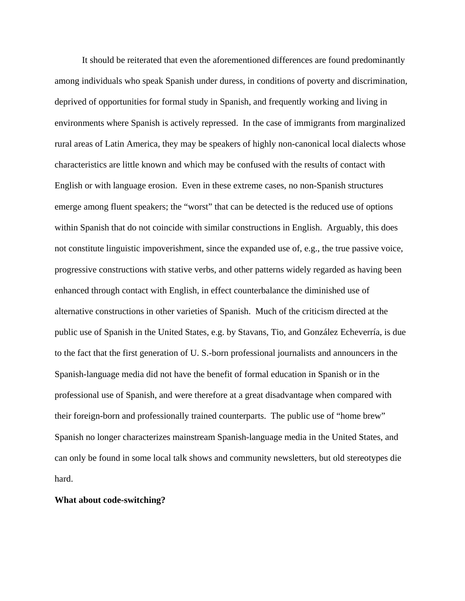It should be reiterated that even the aforementioned differences are found predominantly among individuals who speak Spanish under duress, in conditions of poverty and discrimination, deprived of opportunities for formal study in Spanish, and frequently working and living in environments where Spanish is actively repressed. In the case of immigrants from marginalized rural areas of Latin America, they may be speakers of highly non-canonical local dialects whose characteristics are little known and which may be confused with the results of contact with English or with language erosion. Even in these extreme cases, no non-Spanish structures emerge among fluent speakers; the "worst" that can be detected is the reduced use of options within Spanish that do not coincide with similar constructions in English. Arguably, this does not constitute linguistic impoverishment, since the expanded use of, e.g., the true passive voice, progressive constructions with stative verbs, and other patterns widely regarded as having been enhanced through contact with English, in effect counterbalance the diminished use of alternative constructions in other varieties of Spanish. Much of the criticism directed at the public use of Spanish in the United States, e.g. by Stavans, Tio, and González Echeverría, is due to the fact that the first generation of U. S.-born professional journalists and announcers in the Spanish-language media did not have the benefit of formal education in Spanish or in the professional use of Spanish, and were therefore at a great disadvantage when compared with their foreign-born and professionally trained counterparts. The public use of "home brew" Spanish no longer characterizes mainstream Spanish-language media in the United States, and can only be found in some local talk shows and community newsletters, but old stereotypes die hard.

### **What about code-switching?**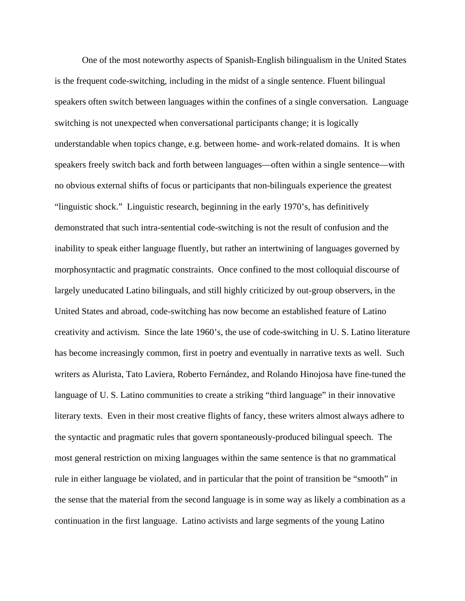One of the most noteworthy aspects of Spanish-English bilingualism in the United States is the frequent code-switching, including in the midst of a single sentence. Fluent bilingual speakers often switch between languages within the confines of a single conversation. Language switching is not unexpected when conversational participants change; it is logically understandable when topics change, e.g. between home- and work-related domains. It is when speakers freely switch back and forth between languages—often within a single sentence—with no obvious external shifts of focus or participants that non-bilinguals experience the greatest "linguistic shock." Linguistic research, beginning in the early 1970's, has definitively demonstrated that such intra-sentential code-switching is not the result of confusion and the inability to speak either language fluently, but rather an intertwining of languages governed by morphosyntactic and pragmatic constraints. Once confined to the most colloquial discourse of largely uneducated Latino bilinguals, and still highly criticized by out-group observers, in the United States and abroad, code-switching has now become an established feature of Latino creativity and activism. Since the late 1960's, the use of code-switching in U. S. Latino literature has become increasingly common, first in poetry and eventually in narrative texts as well. Such writers as Alurista, Tato Laviera, Roberto Fernández, and Rolando Hinojosa have fine-tuned the language of U. S. Latino communities to create a striking "third language" in their innovative literary texts. Even in their most creative flights of fancy, these writers almost always adhere to the syntactic and pragmatic rules that govern spontaneously-produced bilingual speech. The most general restriction on mixing languages within the same sentence is that no grammatical rule in either language be violated, and in particular that the point of transition be "smooth" in the sense that the material from the second language is in some way as likely a combination as a continuation in the first language. Latino activists and large segments of the young Latino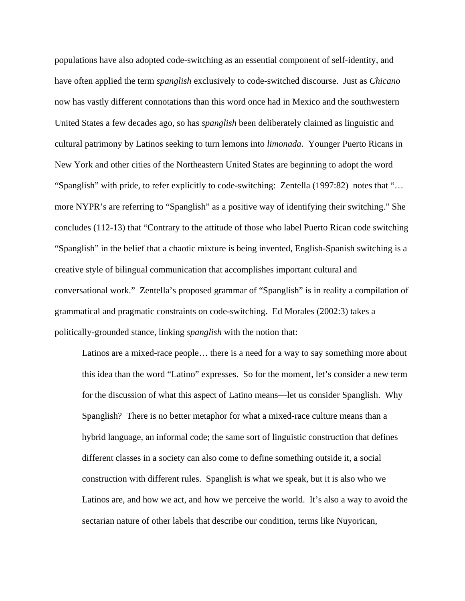populations have also adopted code-switching as an essential component of self-identity, and have often applied the term *spanglish* exclusively to code-switched discourse. Just as *Chicano* now has vastly different connotations than this word once had in Mexico and the southwestern United States a few decades ago, so has *spanglish* been deliberately claimed as linguistic and cultural patrimony by Latinos seeking to turn lemons into *limonada*. Younger Puerto Ricans in New York and other cities of the Northeastern United States are beginning to adopt the word "Spanglish" with pride, to refer explicitly to code-switching: Zentella (1997:82) notes that "… more NYPR's are referring to "Spanglish" as a positive way of identifying their switching." She concludes (112-13) that "Contrary to the attitude of those who label Puerto Rican code switching "Spanglish" in the belief that a chaotic mixture is being invented, English-Spanish switching is a creative style of bilingual communication that accomplishes important cultural and conversational work." Zentella's proposed grammar of "Spanglish" is in reality a compilation of grammatical and pragmatic constraints on code-switching. Ed Morales (2002:3) takes a politically-grounded stance, linking *spanglish* with the notion that:

Latinos are a mixed-race people… there is a need for a way to say something more about this idea than the word "Latino" expresses. So for the moment, let's consider a new term for the discussion of what this aspect of Latino means—let us consider Spanglish. Why Spanglish? There is no better metaphor for what a mixed-race culture means than a hybrid language, an informal code; the same sort of linguistic construction that defines different classes in a society can also come to define something outside it, a social construction with different rules. Spanglish is what we speak, but it is also who we Latinos are, and how we act, and how we perceive the world. It's also a way to avoid the sectarian nature of other labels that describe our condition, terms like Nuyorican,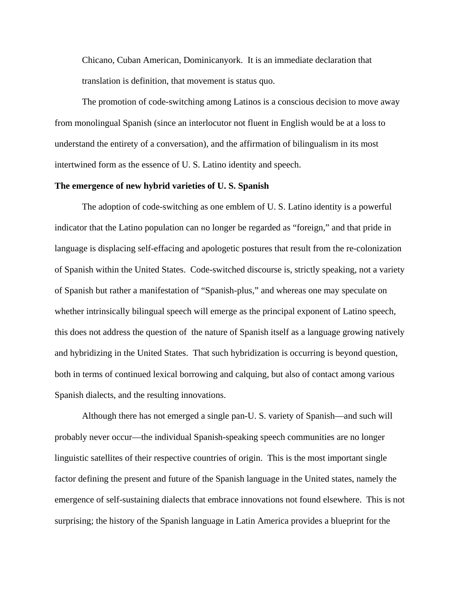Chicano, Cuban American, Dominicanyork. It is an immediate declaration that translation is definition, that movement is status quo.

The promotion of code-switching among Latinos is a conscious decision to move away from monolingual Spanish (since an interlocutor not fluent in English would be at a loss to understand the entirety of a conversation), and the affirmation of bilingualism in its most intertwined form as the essence of U. S. Latino identity and speech.

### **The emergence of new hybrid varieties of U. S. Spanish**

The adoption of code-switching as one emblem of U. S. Latino identity is a powerful indicator that the Latino population can no longer be regarded as "foreign," and that pride in language is displacing self-effacing and apologetic postures that result from the re-colonization of Spanish within the United States. Code-switched discourse is, strictly speaking, not a variety of Spanish but rather a manifestation of "Spanish-plus," and whereas one may speculate on whether intrinsically bilingual speech will emerge as the principal exponent of Latino speech, this does not address the question of the nature of Spanish itself as a language growing natively and hybridizing in the United States. That such hybridization is occurring is beyond question, both in terms of continued lexical borrowing and calquing, but also of contact among various Spanish dialects, and the resulting innovations.

Although there has not emerged a single pan-U. S. variety of Spanish—and such will probably never occur—the individual Spanish-speaking speech communities are no longer linguistic satellites of their respective countries of origin. This is the most important single factor defining the present and future of the Spanish language in the United states, namely the emergence of self-sustaining dialects that embrace innovations not found elsewhere. This is not surprising; the history of the Spanish language in Latin America provides a blueprint for the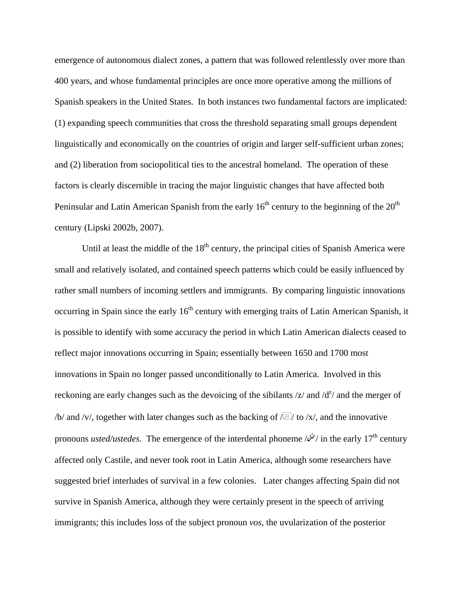emergence of autonomous dialect zones, a pattern that was followed relentlessly over more than 400 years, and whose fundamental principles are once more operative among the millions of Spanish speakers in the United States. In both instances two fundamental factors are implicated: (1) expanding speech communities that cross the threshold separating small groups dependent linguistically and economically on the countries of origin and larger self-sufficient urban zones; and (2) liberation from sociopolitical ties to the ancestral homeland. The operation of these factors is clearly discernible in tracing the major linguistic changes that have affected both Peninsular and Latin American Spanish from the early  $16<sup>th</sup>$  century to the beginning of the  $20<sup>th</sup>$ century (Lipski 2002b, 2007).

Until at least the middle of the  $18<sup>th</sup>$  century, the principal cities of Spanish America were small and relatively isolated, and contained speech patterns which could be easily influenced by rather small numbers of incoming settlers and immigrants. By comparing linguistic innovations occurring in Spain since the early 16<sup>th</sup> century with emerging traits of Latin American Spanish, it is possible to identify with some accuracy the period in which Latin American dialects ceased to reflect major innovations occurring in Spain; essentially between 1650 and 1700 most innovations in Spain no longer passed unconditionally to Latin America. Involved in this reckoning are early changes such as the devoicing of the sibilants  $\frac{z}{a}$  and  $\frac{d^2}{a}$  and the merger of /b/ and /v/, together with later changes such as the backing of  $\sqrt{2}$ / to /x/, and the innovative pronouns *usted/ustedes*. The emergence of the interdental phoneme /7/ in the early 17th century affected only Castile, and never took root in Latin America, although some researchers have suggested brief interludes of survival in a few colonies. Later changes affecting Spain did not survive in Spanish America, although they were certainly present in the speech of arriving immigrants; this includes loss of the subject pronoun *vos,* the uvularization of the posterior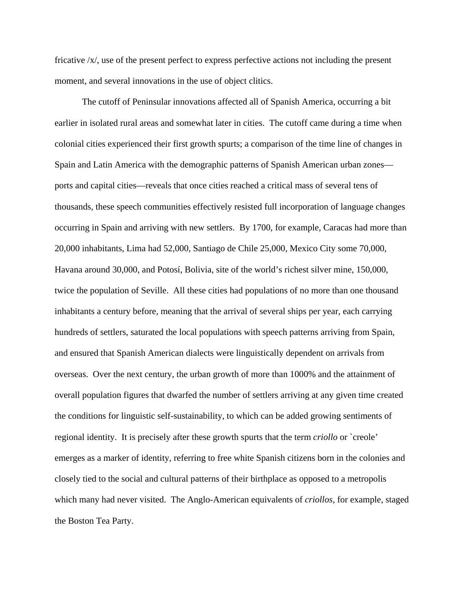fricative /x/, use of the present perfect to express perfective actions not including the present moment, and several innovations in the use of object clitics.

The cutoff of Peninsular innovations affected all of Spanish America, occurring a bit earlier in isolated rural areas and somewhat later in cities. The cutoff came during a time when colonial cities experienced their first growth spurts; a comparison of the time line of changes in Spain and Latin America with the demographic patterns of Spanish American urban zones ports and capital cities—reveals that once cities reached a critical mass of several tens of thousands, these speech communities effectively resisted full incorporation of language changes occurring in Spain and arriving with new settlers. By 1700, for example, Caracas had more than 20,000 inhabitants, Lima had 52,000, Santiago de Chile 25,000, Mexico City some 70,000, Havana around 30,000, and Potosí, Bolivia, site of the world's richest silver mine, 150,000, twice the population of Seville. All these cities had populations of no more than one thousand inhabitants a century before, meaning that the arrival of several ships per year, each carrying hundreds of settlers, saturated the local populations with speech patterns arriving from Spain, and ensured that Spanish American dialects were linguistically dependent on arrivals from overseas. Over the next century, the urban growth of more than 1000% and the attainment of overall population figures that dwarfed the number of settlers arriving at any given time created the conditions for linguistic self-sustainability, to which can be added growing sentiments of regional identity. It is precisely after these growth spurts that the term *criollo* or `creole' emerges as a marker of identity, referring to free white Spanish citizens born in the colonies and closely tied to the social and cultural patterns of their birthplace as opposed to a metropolis which many had never visited. The Anglo-American equivalents of *criollos,* for example, staged the Boston Tea Party.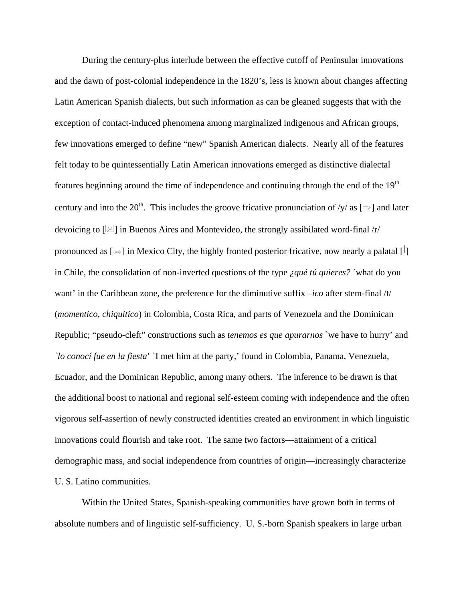During the century-plus interlude between the effective cutoff of Peninsular innovations and the dawn of post-colonial independence in the 1820's, less is known about changes affecting Latin American Spanish dialects, but such information as can be gleaned suggests that with the exception of contact-induced phenomena among marginalized indigenous and African groups, few innovations emerged to define "new" Spanish American dialects. Nearly all of the features felt today to be quintessentially Latin American innovations emerged as distinctive dialectal features beginning around the time of independence and continuing through the end of the  $19<sup>th</sup>$ century and into the 20<sup>th</sup>. This includes the groove fricative pronunciation of /y/ as  $[\Rightarrow]$  and later devoicing to  $\lceil\overline{\mathbb{Z}}\rceil$  in Buenos Aires and Montevideo, the strongly assibilated word-final /r/ pronounced as  $[\neg \neg]$  in Mexico City, the highly fronted posterior fricative, now nearly a palatal  $[\cdot]$ in Chile, the consolidation of non-inverted questions of the type *¿qué tú quieres?* `what do you want' in the Caribbean zone, the preference for the diminutive suffix –*ico* after stem-final /t/ (*momentico, chiquitico*) in Colombia, Costa Rica, and parts of Venezuela and the Dominican Republic; "pseudo-cleft" constructions such as *tenemos es que apurarnos* `we have to hurry' and *`lo conocí fue en la fiesta*' `I met him at the party,' found in Colombia, Panama, Venezuela, Ecuador, and the Dominican Republic, among many others. The inference to be drawn is that the additional boost to national and regional self-esteem coming with independence and the often vigorous self-assertion of newly constructed identities created an environment in which linguistic innovations could flourish and take root. The same two factors—attainment of a critical demographic mass, and social independence from countries of origin—increasingly characterize U. S. Latino communities.

Within the United States, Spanish-speaking communities have grown both in terms of absolute numbers and of linguistic self-sufficiency. U. S.-born Spanish speakers in large urban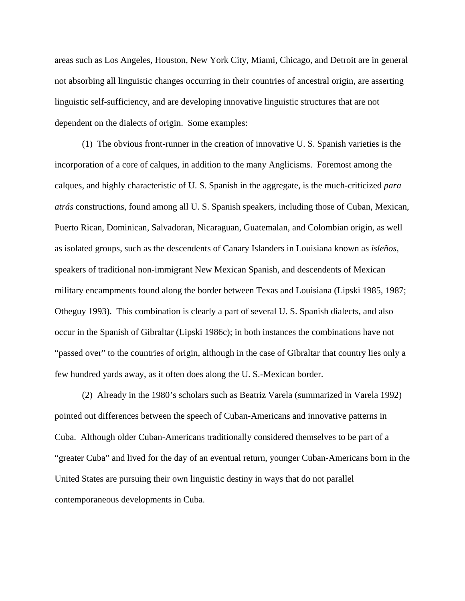areas such as Los Angeles, Houston, New York City, Miami, Chicago, and Detroit are in general not absorbing all linguistic changes occurring in their countries of ancestral origin, are asserting linguistic self-sufficiency, and are developing innovative linguistic structures that are not dependent on the dialects of origin. Some examples:

(1) The obvious front-runner in the creation of innovative U. S. Spanish varieties is the incorporation of a core of calques, in addition to the many Anglicisms. Foremost among the calques, and highly characteristic of U. S. Spanish in the aggregate, is the much-criticized *para atrás* constructions, found among all U. S. Spanish speakers, including those of Cuban, Mexican, Puerto Rican, Dominican, Salvadoran, Nicaraguan, Guatemalan, and Colombian origin, as well as isolated groups, such as the descendents of Canary Islanders in Louisiana known as *isleños,*  speakers of traditional non-immigrant New Mexican Spanish, and descendents of Mexican military encampments found along the border between Texas and Louisiana (Lipski 1985, 1987; Otheguy 1993). This combination is clearly a part of several U. S. Spanish dialects, and also occur in the Spanish of Gibraltar (Lipski 1986c); in both instances the combinations have not "passed over" to the countries of origin, although in the case of Gibraltar that country lies only a few hundred yards away, as it often does along the U. S.-Mexican border.

(2) Already in the 1980's scholars such as Beatriz Varela (summarized in Varela 1992) pointed out differences between the speech of Cuban-Americans and innovative patterns in Cuba. Although older Cuban-Americans traditionally considered themselves to be part of a "greater Cuba" and lived for the day of an eventual return, younger Cuban-Americans born in the United States are pursuing their own linguistic destiny in ways that do not parallel contemporaneous developments in Cuba.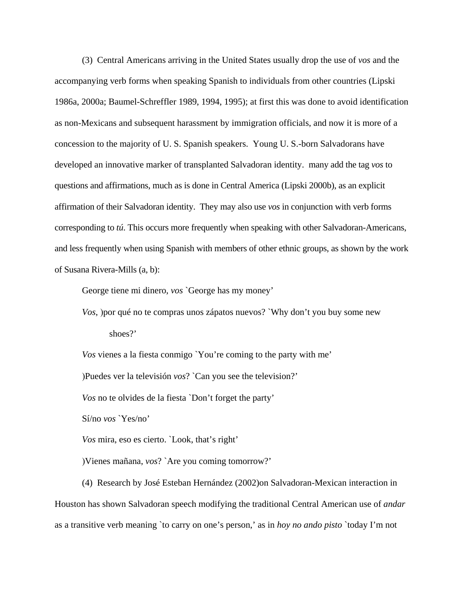(3) Central Americans arriving in the United States usually drop the use of *vos* and the accompanying verb forms when speaking Spanish to individuals from other countries (Lipski 1986a, 2000a; Baumel-Schreffler 1989, 1994, 1995); at first this was done to avoid identification as non-Mexicans and subsequent harassment by immigration officials, and now it is more of a concession to the majority of U. S. Spanish speakers. Young U. S.-born Salvadorans have developed an innovative marker of transplanted Salvadoran identity. many add the tag *vos* to questions and affirmations, much as is done in Central America (Lipski 2000b), as an explicit affirmation of their Salvadoran identity. They may also use *vos* in conjunction with verb forms corresponding to *tú*. This occurs more frequently when speaking with other Salvadoran-Americans, and less frequently when using Spanish with members of other ethnic groups, as shown by the work of Susana Rivera-Mills (a, b):

George tiene mi dinero, *vos* `George has my money'

*Vos*, )por qué no te compras unos zápatos nuevos? `Why don't you buy some new shoes?'

*Vos* vienes a la fiesta conmigo `You're coming to the party with me'

)Puedes ver la televisión *vos*? `Can you see the television?'

*Vos* no te olvides de la fiesta `Don't forget the party'

Sí/no *vos* `Yes/no'

*Vos* mira, eso es cierto. `Look, that's right'

)Vienes mañana, *vos*? `Are you coming tomorrow?'

(4) Research by José Esteban Hernández (2002)on Salvadoran-Mexican interaction in Houston has shown Salvadoran speech modifying the traditional Central American use of *andar*  as a transitive verb meaning `to carry on one's person,' as in *hoy no ando pisto* `today I'm not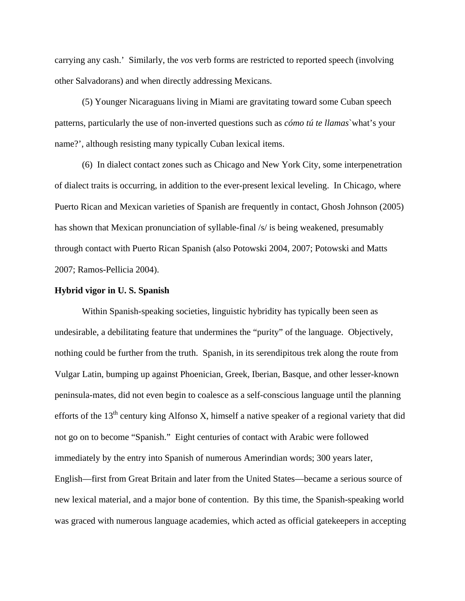carrying any cash.' Similarly, the *vos* verb forms are restricted to reported speech (involving other Salvadorans) and when directly addressing Mexicans.

(5) Younger Nicaraguans living in Miami are gravitating toward some Cuban speech patterns, particularly the use of non-inverted questions such as *cómo tú te llamas*`what's your name?', although resisting many typically Cuban lexical items.

(6) In dialect contact zones such as Chicago and New York City, some interpenetration of dialect traits is occurring, in addition to the ever-present lexical leveling. In Chicago, where Puerto Rican and Mexican varieties of Spanish are frequently in contact, Ghosh Johnson (2005) has shown that Mexican pronunciation of syllable-final /s/ is being weakened, presumably through contact with Puerto Rican Spanish (also Potowski 2004, 2007; Potowski and Matts 2007; Ramos-Pellicia 2004).

### **Hybrid vigor in U. S. Spanish**

Within Spanish-speaking societies, linguistic hybridity has typically been seen as undesirable, a debilitating feature that undermines the "purity" of the language. Objectively, nothing could be further from the truth. Spanish, in its serendipitous trek along the route from Vulgar Latin, bumping up against Phoenician, Greek, Iberian, Basque, and other lesser-known peninsula-mates, did not even begin to coalesce as a self-conscious language until the planning efforts of the  $13<sup>th</sup>$  century king Alfonso X, himself a native speaker of a regional variety that did not go on to become "Spanish." Eight centuries of contact with Arabic were followed immediately by the entry into Spanish of numerous Amerindian words; 300 years later, English—first from Great Britain and later from the United States—became a serious source of new lexical material, and a major bone of contention. By this time, the Spanish-speaking world was graced with numerous language academies, which acted as official gatekeepers in accepting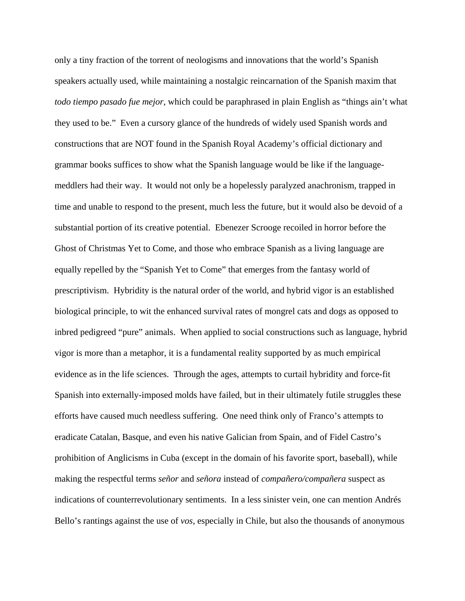only a tiny fraction of the torrent of neologisms and innovations that the world's Spanish speakers actually used, while maintaining a nostalgic reincarnation of the Spanish maxim that *todo tiempo pasado fue mejor*, which could be paraphrased in plain English as "things ain't what they used to be." Even a cursory glance of the hundreds of widely used Spanish words and constructions that are NOT found in the Spanish Royal Academy's official dictionary and grammar books suffices to show what the Spanish language would be like if the languagemeddlers had their way. It would not only be a hopelessly paralyzed anachronism, trapped in time and unable to respond to the present, much less the future, but it would also be devoid of a substantial portion of its creative potential. Ebenezer Scrooge recoiled in horror before the Ghost of Christmas Yet to Come, and those who embrace Spanish as a living language are equally repelled by the "Spanish Yet to Come" that emerges from the fantasy world of prescriptivism. Hybridity is the natural order of the world, and hybrid vigor is an established biological principle, to wit the enhanced survival rates of mongrel cats and dogs as opposed to inbred pedigreed "pure" animals. When applied to social constructions such as language, hybrid vigor is more than a metaphor, it is a fundamental reality supported by as much empirical evidence as in the life sciences. Through the ages, attempts to curtail hybridity and force-fit Spanish into externally-imposed molds have failed, but in their ultimately futile struggles these efforts have caused much needless suffering. One need think only of Franco's attempts to eradicate Catalan, Basque, and even his native Galician from Spain, and of Fidel Castro's prohibition of Anglicisms in Cuba (except in the domain of his favorite sport, baseball), while making the respectful terms *señor* and *señora* instead of *compañero/compañera* suspect as indications of counterrevolutionary sentiments. In a less sinister vein, one can mention Andrés Bello's rantings against the use of *vos,* especially in Chile, but also the thousands of anonymous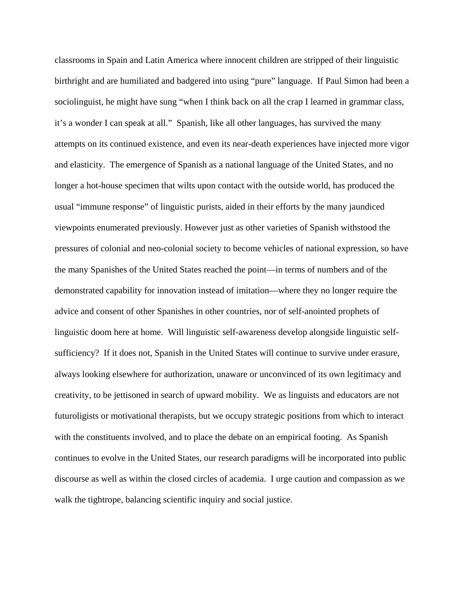classrooms in Spain and Latin America where innocent children are stripped of their linguistic birthright and are humiliated and badgered into using "pure" language. If Paul Simon had been a sociolinguist, he might have sung "when I think back on all the crap I learned in grammar class, it's a wonder I can speak at all." Spanish, like all other languages, has survived the many attempts on its continued existence, and even its near-death experiences have injected more vigor and elasticity. The emergence of Spanish as a national language of the United States, and no longer a hot-house specimen that wilts upon contact with the outside world, has produced the usual "immune response" of linguistic purists, aided in their efforts by the many jaundiced viewpoints enumerated previously. However just as other varieties of Spanish withstood the pressures of colonial and neo-colonial society to become vehicles of national expression, so have the many Spanishes of the United States reached the point—in terms of numbers and of the demonstrated capability for innovation instead of imitation—where they no longer require the advice and consent of other Spanishes in other countries, nor of self-anointed prophets of linguistic doom here at home. Will linguistic self-awareness develop alongside linguistic selfsufficiency? If it does not, Spanish in the United States will continue to survive under erasure, always looking elsewhere for authorization, unaware or unconvinced of its own legitimacy and creativity, to be jettisoned in search of upward mobility. We as linguists and educators are not futuroligists or motivational therapists, but we occupy strategic positions from which to interact with the constituents involved, and to place the debate on an empirical footing. As Spanish continues to evolve in the United States, our research paradigms will be incorporated into public discourse as well as within the closed circles of academia. I urge caution and compassion as we walk the tightrope, balancing scientific inquiry and social justice.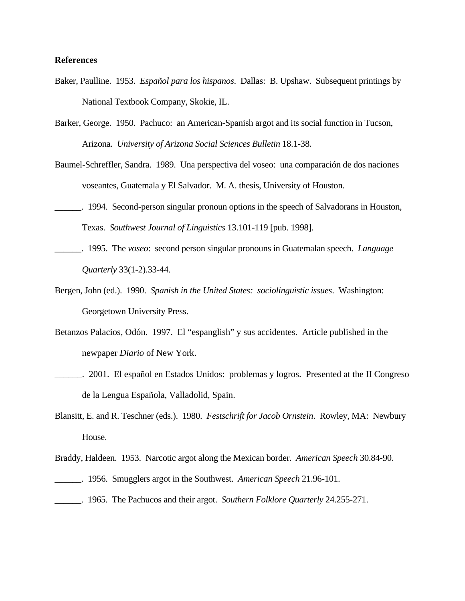# **References**

- Baker, Paulline. 1953. *Español para los hispanos*. Dallas: B. Upshaw. Subsequent printings by National Textbook Company, Skokie, IL.
- Barker, George. 1950. Pachuco: an American-Spanish argot and its social function in Tucson, Arizona. *University of Arizona Social Sciences Bulletin* 18.1-38.
- Baumel-Schreffler, Sandra. 1989. Una perspectiva del voseo: una comparación de dos naciones voseantes, Guatemala y El Salvador. M. A. thesis, University of Houston.
- \_\_\_\_\_\_. 1994. Second-person singular pronoun options in the speech of Salvadorans in Houston, Texas. *Southwest Journal of Linguistics* 13.101-119 [pub. 1998].
- \_\_\_\_\_\_. 1995. The *voseo*: second person singular pronouns in Guatemalan speech. *Language Quarterly* 33(1-2).33-44.
- Bergen, John (ed.). 1990. *Spanish in the United States: sociolinguistic issues*. Washington: Georgetown University Press.
- Betanzos Palacios, Odón. 1997. El "espanglish" y sus accidentes. Article published in the newpaper *Diario* of New York.
- \_\_\_\_\_\_. 2001. El español en Estados Unidos: problemas y logros. Presented at the II Congreso de la Lengua Española, Valladolid, Spain.
- Blansitt, E. and R. Teschner (eds.). 1980. *Festschrift for Jacob Ornstein*. Rowley, MA: Newbury House.
- Braddy, Haldeen. 1953. Narcotic argot along the Mexican border. *American Speech* 30.84-90.
- \_\_\_\_\_\_. 1956. Smugglers argot in the Southwest. *American Speech* 21.96-101.
- \_\_\_\_\_\_. 1965. The Pachucos and their argot. *Southern Folklore Quarterly* 24.255-271.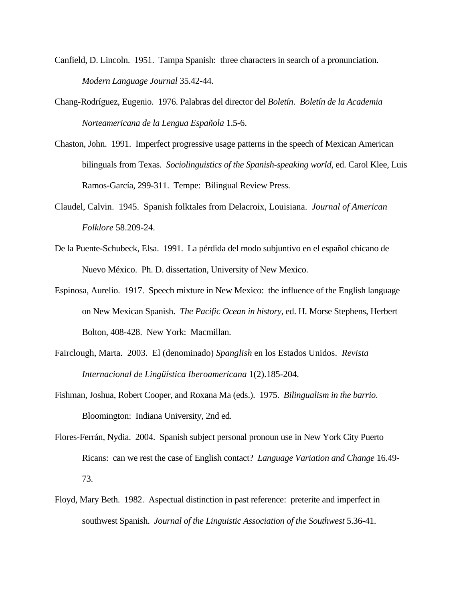- Canfield, D. Lincoln. 1951. Tampa Spanish: three characters in search of a pronunciation. *Modern Language Journal* 35.42-44.
- Chang-Rodríguez, Eugenio. 1976. Palabras del director del *Boletín*. *Boletín de la Academia Norteamericana de la Lengua Española* 1.5-6.
- Chaston, John. 1991. Imperfect progressive usage patterns in the speech of Mexican American bilinguals from Texas. *Sociolinguistics of the Spanish-speaking world*, ed. Carol Klee, Luis Ramos-García, 299-311. Tempe: Bilingual Review Press.
- Claudel, Calvin. 1945. Spanish folktales from Delacroix, Louisiana. *Journal of American Folklore* 58.209-24.
- De la Puente-Schubeck, Elsa. 1991. La pérdida del modo subjuntivo en el español chicano de Nuevo México. Ph. D. dissertation, University of New Mexico.
- Espinosa, Aurelio. 1917. Speech mixture in New Mexico: the influence of the English language on New Mexican Spanish. *The Pacific Ocean in history*, ed. H. Morse Stephens, Herbert Bolton, 408-428. New York: Macmillan.
- Fairclough, Marta. 2003. El (denominado) *Spanglish* en los Estados Unidos. *Revista Internacional de Lingüística Iberoamericana* 1(2).185-204.
- Fishman, Joshua, Robert Cooper, and Roxana Ma (eds.). 1975. *Bilingualism in the barrio*. Bloomington: Indiana University, 2nd ed.
- Flores-Ferrán, Nydia. 2004. Spanish subject personal pronoun use in New York City Puerto Ricans: can we rest the case of English contact? *Language Variation and Change* 16.49- 73.
- Floyd, Mary Beth. 1982. Aspectual distinction in past reference: preterite and imperfect in southwest Spanish. *Journal of the Linguistic Association of the Southwest* 5.36-41.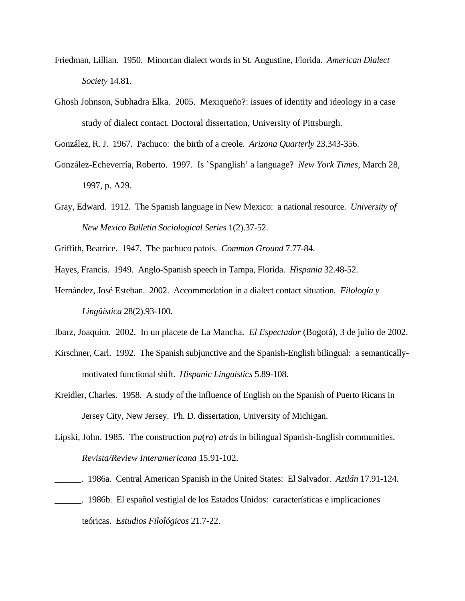- Friedman, Lillian. 1950. Minorcan dialect words in St. Augustine, Florida. *American Dialect Society* 14.81.
- Ghosh Johnson, Subhadra Elka. 2005. Mexiqueño?: issues of identity and ideology in a case study of dialect contact. Doctoral dissertation, University of Pittsburgh.

González, R. J. 1967. Pachuco: the birth of a creole. *Arizona Quarterly* 23.343-356.

- González-Echeverría, Roberto. 1997. Is `Spanglish' a language? *New York Times*, March 28, 1997, p. A29.
- Gray, Edward. 1912. The Spanish language in New Mexico: a national resource. *University of New Mexico Bulletin Sociological Series* 1(2).37-52.
- Griffith, Beatrice. 1947. The pachuco patois. *Common Ground* 7.77-84.
- Hayes, Francis. 1949. Anglo-Spanish speech in Tampa, Florida. *Hispania* 32.48-52.
- Hernández, José Esteban. 2002. Accommodation in a dialect contact situation*. Filología y Lingüística* 28(2).93-100.
- Ibarz, Joaquim. 2002. In un placete de La Mancha. *El Espectador* (Bogotá), 3 de julio de 2002.
- Kirschner, Carl. 1992. The Spanish subjunctive and the Spanish-English bilingual: a semanticallymotivated functional shift. *Hispanic Linguistics* 5.89-108.
- Kreidler, Charles. 1958. A study of the influence of English on the Spanish of Puerto Ricans in Jersey City, New Jersey. Ph. D. dissertation, University of Michigan.
- Lipski, John. 1985. The construction *pa*(*ra*) *atrás* in bilingual Spanish-English communities. *Revista/Review Interamericana* 15.91-102.
- \_\_\_\_\_\_. 1986a. Central American Spanish in the United States: El Salvador. *Aztlán* 17.91-124.
- \_\_\_\_\_\_. 1986b. El español vestigial de los Estados Unidos: características e implicaciones teóricas. *Estudios Filológicos* 21.7-22.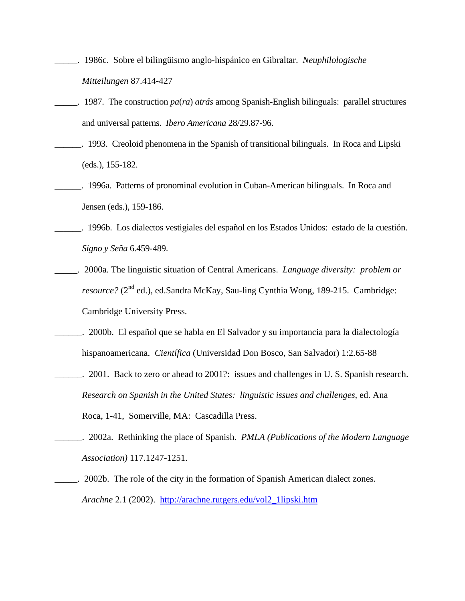- \_\_\_\_\_. 1986c. Sobre el bilingüismo anglo-hispánico en Gibraltar. *Neuphilologische Mitteilungen* 87.414-427
- \_\_\_\_\_. 1987. The construction *pa*(*ra*) *atrás* among Spanish-English bilinguals: parallel structures and universal patterns. *Ibero Americana* 28/29.87-96.
- \_\_\_\_\_\_. 1993. Creoloid phenomena in the Spanish of transitional bilinguals. In Roca and Lipski (eds.), 155-182.
- \_\_\_\_\_\_. 1996a. Patterns of pronominal evolution in Cuban-American bilinguals. In Roca and Jensen (eds.), 159-186.
- \_\_\_\_\_\_. 1996b. Los dialectos vestigiales del español en los Estados Unidos: estado de la cuestión. *Signo y Seña* 6.459-489.
- \_\_\_\_\_. 2000a. The linguistic situation of Central Americans. *Language diversity: problem or resource?* (2<sup>nd</sup> ed.), ed.Sandra McKay, Sau-ling Cynthia Wong, 189-215. Cambridge: Cambridge University Press.
- \_\_\_\_\_\_. 2000b. El español que se habla en El Salvador y su importancia para la dialectología hispanoamericana. *Científica* (Universidad Don Bosco, San Salvador) 1:2.65-88
- \_\_\_\_\_\_. 2001. Back to zero or ahead to 2001?: issues and challenges in U. S. Spanish research. *Research on Spanish in the United States: linguistic issues and challenges*, ed. Ana Roca, 1-41, Somerville, MA: Cascadilla Press.
- \_\_\_\_\_\_. 2002a. Rethinking the place of Spanish. *PMLA (Publications of the Modern Language Association)* 117.1247-1251.
- \_\_\_\_\_. 2002b. The role of the city in the formation of Spanish American dialect zones. *Arachne* 2.1 (2002). http://arachne.rutgers.edu/vol2\_1lipski.htm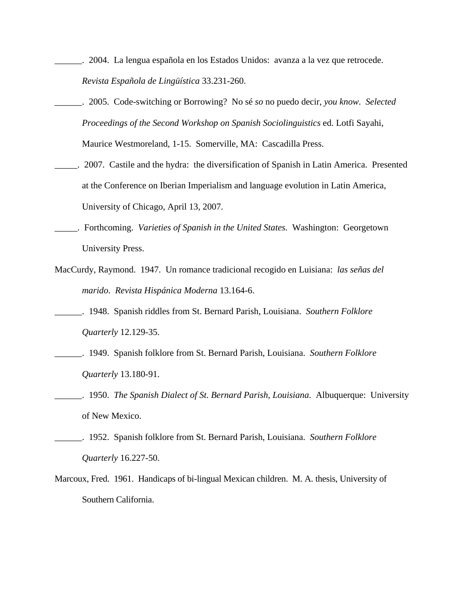- \_\_\_\_\_\_. 2004. La lengua española en los Estados Unidos: avanza a la vez que retrocede. *Revista Española de Lingüística* 33.231-260.
- \_\_\_\_\_\_. 2005. Code-switching or Borrowing? No sé *so* no puedo decir, *you know*. *Selected Proceedings of the Second Workshop on Spanish Sociolinguistics* ed. Lotfi Sayahi, Maurice Westmoreland, 1-15. Somerville, MA: Cascadilla Press.
- \_\_\_\_\_. 2007. Castile and the hydra: the diversification of Spanish in Latin America. Presented at the Conference on Iberian Imperialism and language evolution in Latin America, University of Chicago, April 13, 2007.
- \_\_\_\_\_. Forthcoming. *Varieties of Spanish in the United States.* Washington: Georgetown University Press.
- MacCurdy, Raymond. 1947. Un romance tradicional recogido en Luisiana: *las señas del marido*. *Revista Hispánica Moderna* 13.164-6.
- \_\_\_\_\_\_. 1948. Spanish riddles from St. Bernard Parish, Louisiana. *Southern Folklore Quarterly* 12.129-35.
- \_\_\_\_\_\_. 1949. Spanish folklore from St. Bernard Parish, Louisiana. *Southern Folklore Quarterly* 13.180-91.
- \_\_\_\_\_\_. 1950. *The Spanish Dialect of St. Bernard Parish, Louisiana*. Albuquerque: University of New Mexico.
- \_\_\_\_\_\_. 1952. Spanish folklore from St. Bernard Parish, Louisiana. *Southern Folklore Quarterly* 16.227-50.
- Marcoux, Fred. 1961. Handicaps of bi-lingual Mexican children. M. A. thesis, University of Southern California.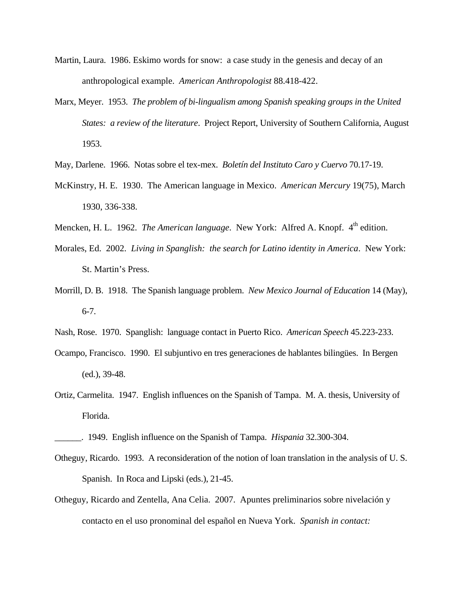- Martin, Laura. 1986. Eskimo words for snow: a case study in the genesis and decay of an anthropological example. *American Anthropologist* 88.418-422.
- Marx, Meyer. 1953. *The problem of bi-lingualism among Spanish speaking groups in the United States: a review of the literature*. Project Report, University of Southern California, August 1953.
- May, Darlene. 1966. Notas sobre el tex-mex. *Boletín del Instituto Caro y Cuervo* 70.17-19.
- McKinstry, H. E. 1930. The American language in Mexico. *American Mercury* 19(75), March 1930, 336-338.
- Mencken, H. L. 1962. *The American language*. New York: Alfred A. Knopf. 4<sup>th</sup> edition.
- Morales, Ed. 2002. *Living in Spanglish: the search for Latino identity in America*. New York: St. Martin's Press.
- Morrill, D. B. 1918. The Spanish language problem. *New Mexico Journal of Education* 14 (May), 6-7.
- Nash, Rose. 1970. Spanglish: language contact in Puerto Rico. *American Speech* 45.223-233.
- Ocampo, Francisco. 1990. El subjuntivo en tres generaciones de hablantes bilingües. In Bergen (ed.), 39-48.
- Ortiz, Carmelita. 1947. English influences on the Spanish of Tampa. M. A. thesis, University of Florida.

- Otheguy, Ricardo. 1993. A reconsideration of the notion of loan translation in the analysis of U. S. Spanish. In Roca and Lipski (eds.), 21-45.
- Otheguy, Ricardo and Zentella, Ana Celia. 2007. Apuntes preliminarios sobre nivelación y contacto en el uso pronominal del español en Nueva York. *Spanish in contact:*

\_\_\_\_\_\_. 1949. English influence on the Spanish of Tampa. *Hispania* 32.300-304.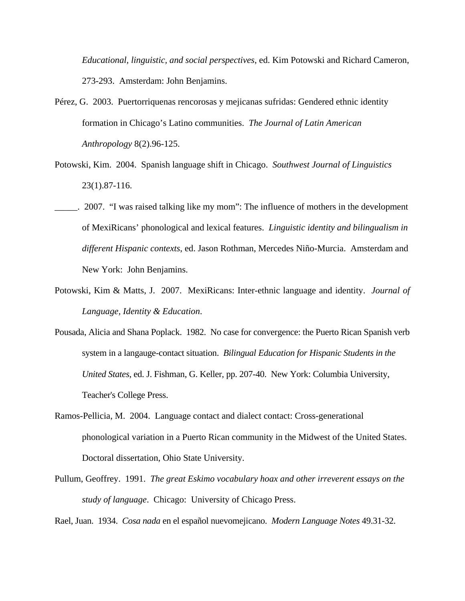*Educational, linguistic, and social perspectives*, ed. Kim Potowski and Richard Cameron, 273-293. Amsterdam: John Benjamins.

- Pérez, G. 2003. Puertorriquenas rencorosas y mejicanas sufridas: Gendered ethnic identity formation in Chicago's Latino communities. *The Journal of Latin American Anthropology* 8(2).96-125.
- Potowski, Kim. 2004. Spanish language shift in Chicago. *Southwest Journal of Linguistics*  23(1).87-116.
- \_\_\_\_\_. 2007. "I was raised talking like my mom": The influence of mothers in the development of MexiRicans' phonological and lexical features. *Linguistic identity and bilingualism in different Hispanic contexts*, ed. Jason Rothman, Mercedes Niño-Murcia. Amsterdam and New York: John Benjamins.
- Potowski, Kim & Matts, J. 2007. MexiRicans: Inter-ethnic language and identity. *Journal of Language, Identity & Education*.
- Pousada, Alicia and Shana Poplack. 1982. No case for convergence: the Puerto Rican Spanish verb system in a langauge-contact situation. *Bilingual Education for Hispanic Students in the United States*, ed. J. Fishman, G. Keller, pp. 207-40. New York: Columbia University, Teacher's College Press.
- Ramos-Pellicia, M. 2004. Language contact and dialect contact: Cross-generational phonological variation in a Puerto Rican community in the Midwest of the United States. Doctoral dissertation, Ohio State University.
- Pullum, Geoffrey. 1991. *The great Eskimo vocabulary hoax and other irreverent essays on the study of language*. Chicago: University of Chicago Press.

Rael, Juan. 1934. *Cosa nada* en el español nuevomejicano. *Modern Language Notes* 49.31-32.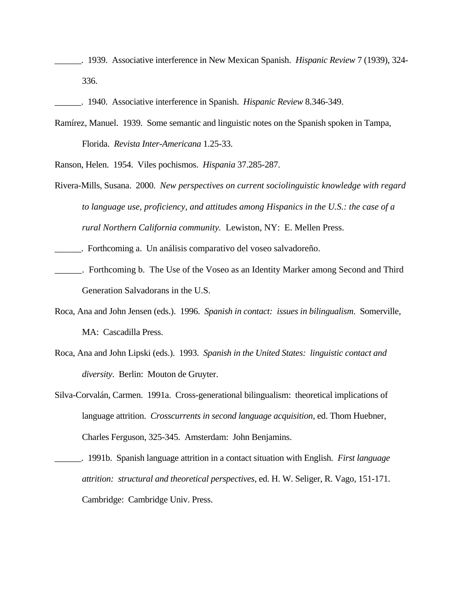\_\_\_\_\_\_. 1939. Associative interference in New Mexican Spanish. *Hispanic Review* 7 (1939), 324- 336.

\_\_\_\_\_\_. 1940. Associative interference in Spanish. *Hispanic Review* 8.346-349.

Ramírez, Manuel. 1939. Some semantic and linguistic notes on the Spanish spoken in Tampa, Florida. *Revista Inter-Americana* 1.25-33.

Ranson, Helen. 1954. Viles pochismos. *Hispania* 37.285-287.

- Rivera-Mills, Susana. 2000. *New perspectives on current sociolinguistic knowledge with regard to language use, proficiency, and attitudes among Hispanics in the U.S.: the case of a rural Northern California community.* Lewiston, NY: E. Mellen Press.
- \_\_\_\_\_\_. Forthcoming a. Un análisis comparativo del voseo salvadoreño.
- \_\_\_\_\_\_. Forthcoming b. The Use of the Voseo as an Identity Marker among Second and Third Generation Salvadorans in the U.S.
- Roca, Ana and John Jensen (eds.). 1996. *Spanish in contact: issues in bilingualism*. Somerville, MA: Cascadilla Press.
- Roca, Ana and John Lipski (eds.). 1993. *Spanish in the United States: linguistic contact and diversity*. Berlin: Mouton de Gruyter.
- Silva-Corvalán, Carmen. 1991a. Cross-generational bilingualism: theoretical implications of language attrition. *Crosscurrents in second language acquisition*, ed. Thom Huebner, Charles Ferguson, 325-345. Amsterdam: John Benjamins.

\_\_\_\_\_\_. 1991b. Spanish language attrition in a contact situation with English. *First language attrition: structural and theoretical perspectives*, ed. H. W. Seliger, R. Vago, 151-171. Cambridge: Cambridge Univ. Press.